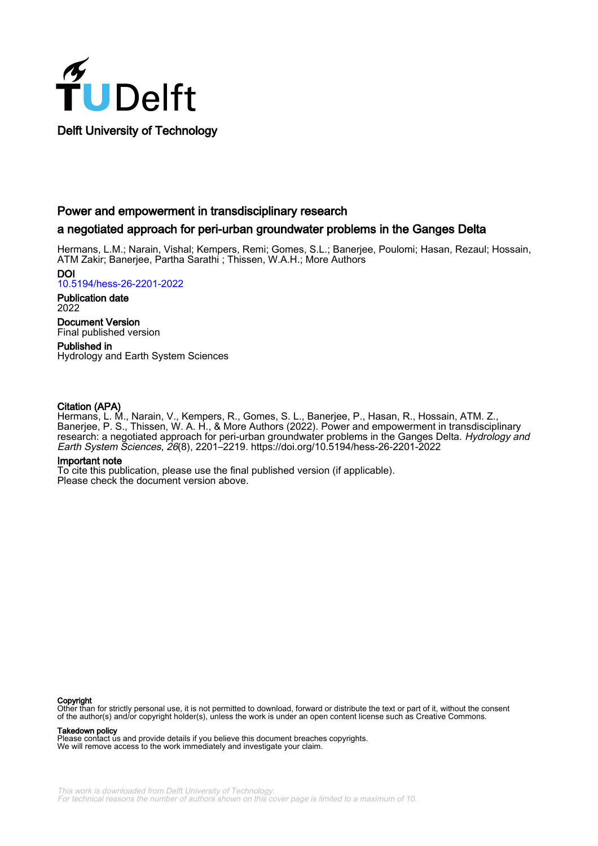

# Power and empowerment in transdisciplinary research

# a negotiated approach for peri-urban groundwater problems in the Ganges Delta

Hermans, L.M.; Narain, Vishal; Kempers, Remi; Gomes, S.L.; Banerjee, Poulomi; Hasan, Rezaul; Hossain, ATM Zakir; Banerjee, Partha Sarathi ; Thissen, W.A.H.; More Authors

DOI [10.5194/hess-26-2201-2022](https://doi.org/10.5194/hess-26-2201-2022)

Publication date 2022

Document Version Final published version

Published in Hydrology and Earth System Sciences

## Citation (APA)

Hermans, L. M., Narain, V., Kempers, R., Gomes, S. L., Banerjee, P., Hasan, R., Hossain, ATM. Z., Banerjee, P. S., Thissen, W. A. H., & More Authors (2022). Power and empowerment in transdisciplinary research: a negotiated approach for peri-urban groundwater problems in the Ganges Delta. Hydrology and Earth System Sciences, 26(8), 2201–2219. <https://doi.org/10.5194/hess-26-2201-2022>

#### Important note

To cite this publication, please use the final published version (if applicable). Please check the document version above.

#### Copyright

Other than for strictly personal use, it is not permitted to download, forward or distribute the text or part of it, without the consent of the author(s) and/or copyright holder(s), unless the work is under an open content license such as Creative Commons.

#### Takedown policy

Please contact us and provide details if you believe this document breaches copyrights. We will remove access to the work immediately and investigate your claim.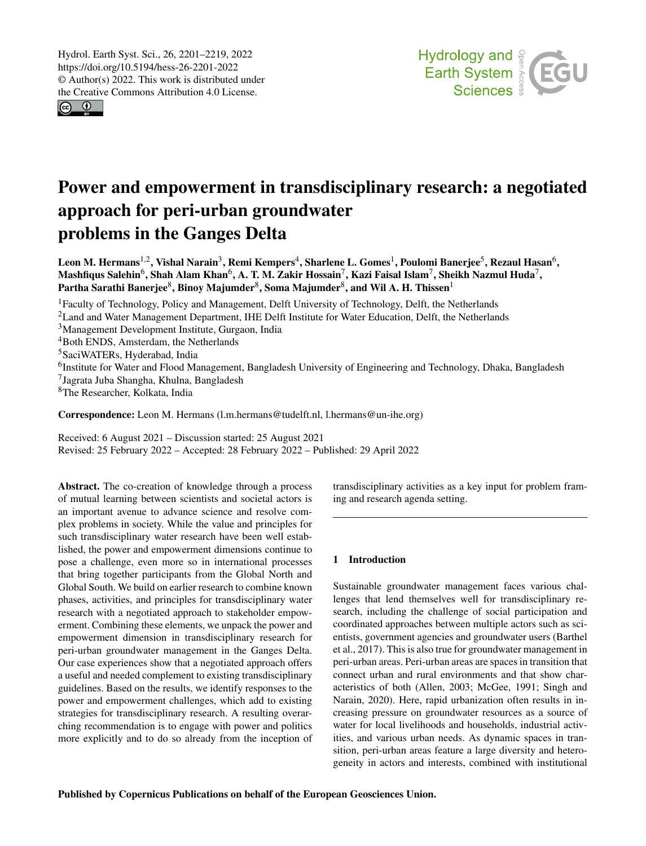$\boxed{6}$   $\boxed{0}$ 



# Power and empowerment in transdisciplinary research: a negotiated approach for peri-urban groundwater problems in the Ganges Delta

Leon M. Hermans $^{1,2}$  $^{1,2}$  $^{1,2}$ , Vishal Narain $^3$  $^3$ , Remi Kempers $^4$  $^4$ , Sharlene L. Gomes $^1$  $^1$ , Poulomi Banerjee $^5$  $^5$ , Rezaul Hasan $^6$  $^6$ , Mashfiqus Salehin $^6$  $^6$ , Shah Alam Khan $^6$ , A. T. M. Zakir Hossain $^7$  $^7$ , Kazi Faisal Islam $^7$ , Sheikh Nazmul Huda $^7$ , Partha Sarathi Banerjee $^8$  $^8$ , Binoy Majumder $^8$ , Soma Majumder $^8$ , and Wil A. H. Thissen $^1$  $^1$ 

Faculty of Technology, Policy and Management, Delft University of Technology, Delft, the Netherlands <sup>2</sup> Land and Water Management Department, IHE Delft Institute for Water Education, Delft, the Netherlands Management Development Institute, Gurgaon, India Both ENDS, Amsterdam, the Netherlands SaciWATERs, Hyderabad, India <sup>6</sup>Institute for Water and Flood Management, Bangladesh University of Engineering and Technology, Dhaka, Bangladesh Jagrata Juba Shangha, Khulna, Bangladesh The Researcher, Kolkata, India

Correspondence: Leon M. Hermans (l.m.hermans@tudelft.nl, l.hermans@un-ihe.org)

Received: 6 August 2021 – Discussion started: 25 August 2021 Revised: 25 February 2022 – Accepted: 28 February 2022 – Published: 29 April 2022

<span id="page-1-0"></span>Abstract. The co-creation of knowledge through a process of mutual learning between scientists and societal actors is an important avenue to advance science and resolve complex problems in society. While the value and principles for such transdisciplinary water research have been well established, the power and empowerment dimensions continue to pose a challenge, even more so in international processes that bring together participants from the Global North and Global South. We build on earlier research to combine known phases, activities, and principles for transdisciplinary water research with a negotiated approach to stakeholder empowerment. Combining these elements, we unpack the power and empowerment dimension in transdisciplinary research for peri-urban groundwater management in the Ganges Delta. Our case experiences show that a negotiated approach offers a useful and needed complement to existing transdisciplinary guidelines. Based on the results, we identify responses to the power and empowerment challenges, which add to existing strategies for transdisciplinary research. A resulting overarching recommendation is to engage with power and politics more explicitly and to do so already from the inception of transdisciplinary activities as a key input for problem framing and research agenda setting.

#### 1 Introduction

Sustainable groundwater management faces various challenges that lend themselves well for transdisciplinary research, including the challenge of social participation and coordinated approaches between multiple actors such as scientists, government agencies and groundwater users (Barthel et al., 2017). This is also true for groundwater management in peri-urban areas. Peri-urban areas are spaces in transition that connect urban and rural environments and that show characteristics of both (Allen, 2003; McGee, 1991; Singh and Narain, 2020). Here, rapid urbanization often results in increasing pressure on groundwater resources as a source of water for local livelihoods and households, industrial activities, and various urban needs. As dynamic spaces in transition, peri-urban areas feature a large diversity and heterogeneity in actors and interests, combined with institutional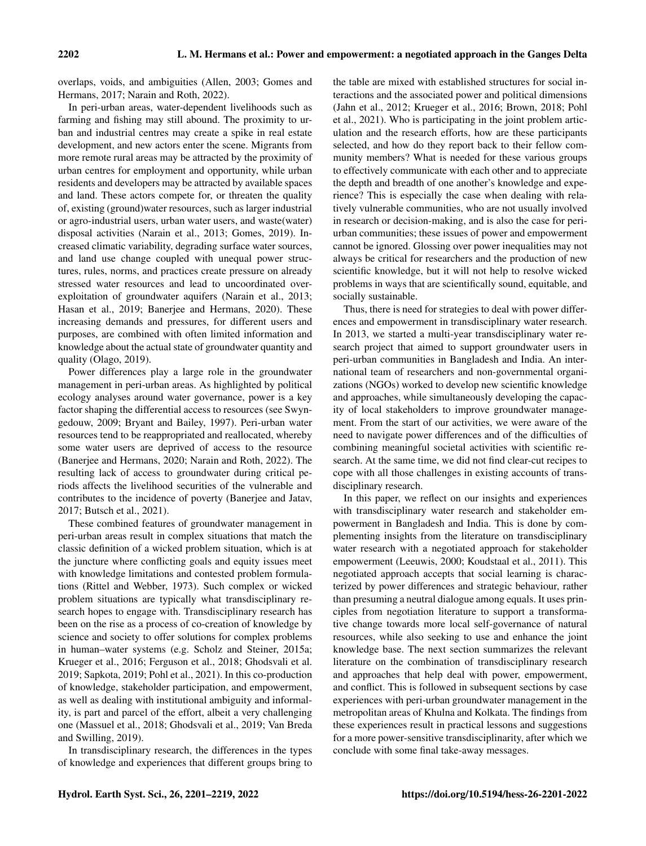overlaps, voids, and ambiguities (Allen, 2003; Gomes and Hermans, 2017; Narain and Roth, 2022).

In peri-urban areas, water-dependent livelihoods such as farming and fishing may still abound. The proximity to urban and industrial centres may create a spike in real estate development, and new actors enter the scene. Migrants from more remote rural areas may be attracted by the proximity of urban centres for employment and opportunity, while urban residents and developers may be attracted by available spaces and land. These actors compete for, or threaten the quality of, existing (ground)water resources, such as larger industrial or agro-industrial users, urban water users, and waste(water) disposal activities (Narain et al., 2013; Gomes, 2019). Increased climatic variability, degrading surface water sources, and land use change coupled with unequal power structures, rules, norms, and practices create pressure on already stressed water resources and lead to uncoordinated overexploitation of groundwater aquifers (Narain et al., 2013; Hasan et al., 2019; Banerjee and Hermans, 2020). These increasing demands and pressures, for different users and purposes, are combined with often limited information and knowledge about the actual state of groundwater quantity and quality (Olago, 2019).

Power differences play a large role in the groundwater management in peri-urban areas. As highlighted by political ecology analyses around water governance, power is a key factor shaping the differential access to resources (see Swyngedouw, 2009; Bryant and Bailey, 1997). Peri-urban water resources tend to be reappropriated and reallocated, whereby some water users are deprived of access to the resource (Banerjee and Hermans, 2020; Narain and Roth, 2022). The resulting lack of access to groundwater during critical periods affects the livelihood securities of the vulnerable and contributes to the incidence of poverty (Banerjee and Jatav, 2017; Butsch et al., 2021).

These combined features of groundwater management in peri-urban areas result in complex situations that match the classic definition of a wicked problem situation, which is at the juncture where conflicting goals and equity issues meet with knowledge limitations and contested problem formulations (Rittel and Webber, 1973). Such complex or wicked problem situations are typically what transdisciplinary research hopes to engage with. Transdisciplinary research has been on the rise as a process of co-creation of knowledge by science and society to offer solutions for complex problems in human–water systems (e.g. Scholz and Steiner, 2015a; Krueger et al., 2016; Ferguson et al., 2018; Ghodsvali et al. 2019; Sapkota, 2019; Pohl et al., 2021). In this co-production of knowledge, stakeholder participation, and empowerment, as well as dealing with institutional ambiguity and informality, is part and parcel of the effort, albeit a very challenging one (Massuel et al., 2018; Ghodsvali et al., 2019; Van Breda and Swilling, 2019).

In transdisciplinary research, the differences in the types of knowledge and experiences that different groups bring to the table are mixed with established structures for social interactions and the associated power and political dimensions (Jahn et al., 2012; Krueger et al., 2016; Brown, 2018; Pohl et al., 2021). Who is participating in the joint problem articulation and the research efforts, how are these participants selected, and how do they report back to their fellow community members? What is needed for these various groups to effectively communicate with each other and to appreciate the depth and breadth of one another's knowledge and experience? This is especially the case when dealing with relatively vulnerable communities, who are not usually involved in research or decision-making, and is also the case for periurban communities; these issues of power and empowerment cannot be ignored. Glossing over power inequalities may not always be critical for researchers and the production of new scientific knowledge, but it will not help to resolve wicked problems in ways that are scientifically sound, equitable, and socially sustainable.

Thus, there is need for strategies to deal with power differences and empowerment in transdisciplinary water research. In 2013, we started a multi-year transdisciplinary water research project that aimed to support groundwater users in peri-urban communities in Bangladesh and India. An international team of researchers and non-governmental organizations (NGOs) worked to develop new scientific knowledge and approaches, while simultaneously developing the capacity of local stakeholders to improve groundwater management. From the start of our activities, we were aware of the need to navigate power differences and of the difficulties of combining meaningful societal activities with scientific research. At the same time, we did not find clear-cut recipes to cope with all those challenges in existing accounts of transdisciplinary research.

In this paper, we reflect on our insights and experiences with transdisciplinary water research and stakeholder empowerment in Bangladesh and India. This is done by complementing insights from the literature on transdisciplinary water research with a negotiated approach for stakeholder empowerment (Leeuwis, 2000; Koudstaal et al., 2011). This negotiated approach accepts that social learning is characterized by power differences and strategic behaviour, rather than presuming a neutral dialogue among equals. It uses principles from negotiation literature to support a transformative change towards more local self-governance of natural resources, while also seeking to use and enhance the joint knowledge base. The next section summarizes the relevant literature on the combination of transdisciplinary research and approaches that help deal with power, empowerment, and conflict. This is followed in subsequent sections by case experiences with peri-urban groundwater management in the metropolitan areas of Khulna and Kolkata. The findings from these experiences result in practical lessons and suggestions for a more power-sensitive transdisciplinarity, after which we conclude with some final take-away messages.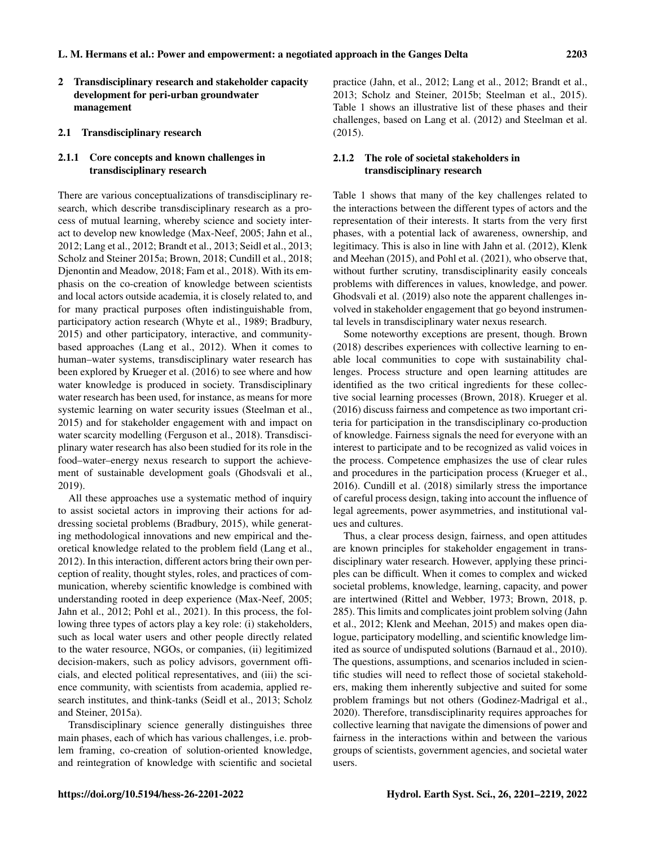2 Transdisciplinary research and stakeholder capacity development for peri-urban groundwater management

#### 2.1 Transdisciplinary research

## 2.1.1 Core concepts and known challenges in transdisciplinary research

There are various conceptualizations of transdisciplinary research, which describe transdisciplinary research as a process of mutual learning, whereby science and society interact to develop new knowledge (Max-Neef, 2005; Jahn et al., 2012; Lang et al., 2012; Brandt et al., 2013; Seidl et al., 2013; Scholz and Steiner 2015a; Brown, 2018; Cundill et al., 2018; Djenontin and Meadow, 2018; Fam et al., 2018). With its emphasis on the co-creation of knowledge between scientists and local actors outside academia, it is closely related to, and for many practical purposes often indistinguishable from, participatory action research (Whyte et al., 1989; Bradbury, 2015) and other participatory, interactive, and communitybased approaches (Lang et al., 2012). When it comes to human–water systems, transdisciplinary water research has been explored by Krueger et al. (2016) to see where and how water knowledge is produced in society. Transdisciplinary water research has been used, for instance, as means for more systemic learning on water security issues (Steelman et al., 2015) and for stakeholder engagement with and impact on water scarcity modelling (Ferguson et al., 2018). Transdisciplinary water research has also been studied for its role in the food–water–energy nexus research to support the achievement of sustainable development goals (Ghodsvali et al., 2019).

All these approaches use a systematic method of inquiry to assist societal actors in improving their actions for addressing societal problems (Bradbury, 2015), while generating methodological innovations and new empirical and theoretical knowledge related to the problem field (Lang et al., 2012). In this interaction, different actors bring their own perception of reality, thought styles, roles, and practices of communication, whereby scientific knowledge is combined with understanding rooted in deep experience (Max-Neef, 2005; Jahn et al., 2012; Pohl et al., 2021). In this process, the following three types of actors play a key role: (i) stakeholders, such as local water users and other people directly related to the water resource, NGOs, or companies, (ii) legitimized decision-makers, such as policy advisors, government officials, and elected political representatives, and (iii) the science community, with scientists from academia, applied research institutes, and think-tanks (Seidl et al., 2013; Scholz and Steiner, 2015a).

Transdisciplinary science generally distinguishes three main phases, each of which has various challenges, i.e. problem framing, co-creation of solution-oriented knowledge, and reintegration of knowledge with scientific and societal practice (Jahn, et al., 2012; Lang et al., 2012; Brandt et al., 2013; Scholz and Steiner, 2015b; Steelman et al., 2015). Table 1 shows an illustrative list of these phases and their challenges, based on Lang et al. (2012) and Steelman et al. (2015).

# 2.1.2 The role of societal stakeholders in transdisciplinary research

Table 1 shows that many of the key challenges related to the interactions between the different types of actors and the representation of their interests. It starts from the very first phases, with a potential lack of awareness, ownership, and legitimacy. This is also in line with Jahn et al. (2012), Klenk and Meehan (2015), and Pohl et al. (2021), who observe that, without further scrutiny, transdisciplinarity easily conceals problems with differences in values, knowledge, and power. Ghodsvali et al. (2019) also note the apparent challenges involved in stakeholder engagement that go beyond instrumental levels in transdisciplinary water nexus research.

Some noteworthy exceptions are present, though. Brown (2018) describes experiences with collective learning to enable local communities to cope with sustainability challenges. Process structure and open learning attitudes are identified as the two critical ingredients for these collective social learning processes (Brown, 2018). Krueger et al. (2016) discuss fairness and competence as two important criteria for participation in the transdisciplinary co-production of knowledge. Fairness signals the need for everyone with an interest to participate and to be recognized as valid voices in the process. Competence emphasizes the use of clear rules and procedures in the participation process (Krueger et al., 2016). Cundill et al. (2018) similarly stress the importance of careful process design, taking into account the influence of legal agreements, power asymmetries, and institutional values and cultures.

Thus, a clear process design, fairness, and open attitudes are known principles for stakeholder engagement in transdisciplinary water research. However, applying these principles can be difficult. When it comes to complex and wicked societal problems, knowledge, learning, capacity, and power are intertwined (Rittel and Webber, 1973; Brown, 2018, p. 285). This limits and complicates joint problem solving (Jahn et al., 2012; Klenk and Meehan, 2015) and makes open dialogue, participatory modelling, and scientific knowledge limited as source of undisputed solutions (Barnaud et al., 2010). The questions, assumptions, and scenarios included in scientific studies will need to reflect those of societal stakeholders, making them inherently subjective and suited for some problem framings but not others (Godinez-Madrigal et al., 2020). Therefore, transdisciplinarity requires approaches for collective learning that navigate the dimensions of power and fairness in the interactions within and between the various groups of scientists, government agencies, and societal water users.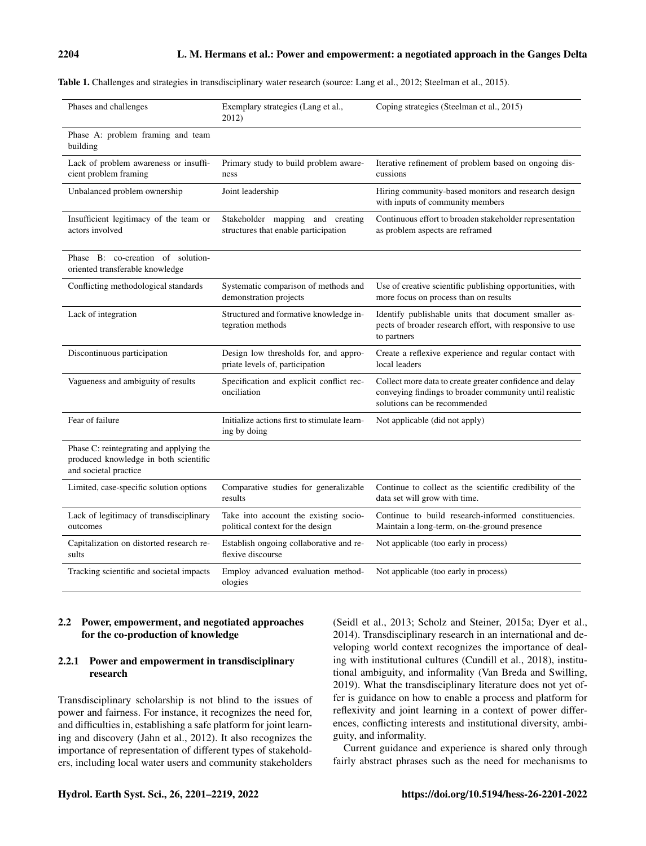| Table 1. Challenges and strategies in transdisciplinary water research (source: Lang et al., 2012; Steelman et al., 2015). |  |  |
|----------------------------------------------------------------------------------------------------------------------------|--|--|
|----------------------------------------------------------------------------------------------------------------------------|--|--|

| Phases and challenges                                                                                     | Exemplary strategies (Lang et al.,<br>2012)                               | Coping strategies (Steelman et al., 2015)                                                                                                           |
|-----------------------------------------------------------------------------------------------------------|---------------------------------------------------------------------------|-----------------------------------------------------------------------------------------------------------------------------------------------------|
| Phase A: problem framing and team<br>building                                                             |                                                                           |                                                                                                                                                     |
| Lack of problem awareness or insuffi-<br>cient problem framing                                            | Primary study to build problem aware-<br>ness                             | Iterative refinement of problem based on ongoing dis-<br>cussions                                                                                   |
| Unbalanced problem ownership                                                                              | Joint leadership                                                          | Hiring community-based monitors and research design<br>with inputs of community members                                                             |
| Insufficient legitimacy of the team or<br>actors involved                                                 | Stakeholder mapping and creating<br>structures that enable participation  | Continuous effort to broaden stakeholder representation<br>as problem aspects are reframed                                                          |
| Phase B: co-creation of solution-<br>oriented transferable knowledge                                      |                                                                           |                                                                                                                                                     |
| Conflicting methodological standards                                                                      | Systematic comparison of methods and<br>demonstration projects            | Use of creative scientific publishing opportunities, with<br>more focus on process than on results                                                  |
| Lack of integration                                                                                       | Structured and formative knowledge in-<br>tegration methods               | Identify publishable units that document smaller as-<br>pects of broader research effort, with responsive to use<br>to partners                     |
| Discontinuous participation                                                                               | Design low thresholds for, and appro-<br>priate levels of, participation  | Create a reflexive experience and regular contact with<br>local leaders                                                                             |
| Vagueness and ambiguity of results                                                                        | Specification and explicit conflict rec-<br>onciliation                   | Collect more data to create greater confidence and delay<br>conveying findings to broader community until realistic<br>solutions can be recommended |
| Fear of failure                                                                                           | Initialize actions first to stimulate learn-<br>ing by doing              | Not applicable (did not apply)                                                                                                                      |
| Phase C: reintegrating and applying the<br>produced knowledge in both scientific<br>and societal practice |                                                                           |                                                                                                                                                     |
| Limited, case-specific solution options                                                                   | Comparative studies for generalizable<br>results                          | Continue to collect as the scientific credibility of the<br>data set will grow with time.                                                           |
| Lack of legitimacy of transdisciplinary<br>outcomes                                                       | Take into account the existing socio-<br>political context for the design | Continue to build research-informed constituencies.<br>Maintain a long-term, on-the-ground presence                                                 |
| Capitalization on distorted research re-<br>sults                                                         | Establish ongoing collaborative and re-<br>flexive discourse              | Not applicable (too early in process)                                                                                                               |
| Tracking scientific and societal impacts                                                                  | Employ advanced evaluation method-<br>ologies                             | Not applicable (too early in process)                                                                                                               |

#### 2.2 Power, empowerment, and negotiated approaches for the co-production of knowledge

#### 2.2.1 Power and empowerment in transdisciplinary research

Transdisciplinary scholarship is not blind to the issues of power and fairness. For instance, it recognizes the need for, and difficulties in, establishing a safe platform for joint learning and discovery (Jahn et al., 2012). It also recognizes the importance of representation of different types of stakeholders, including local water users and community stakeholders

(Seidl et al., 2013; Scholz and Steiner, 2015a; Dyer et al., 2014). Transdisciplinary research in an international and developing world context recognizes the importance of dealing with institutional cultures (Cundill et al., 2018), institutional ambiguity, and informality (Van Breda and Swilling, 2019). What the transdisciplinary literature does not yet offer is guidance on how to enable a process and platform for reflexivity and joint learning in a context of power differences, conflicting interests and institutional diversity, ambiguity, and informality.

Current guidance and experience is shared only through fairly abstract phrases such as the need for mechanisms to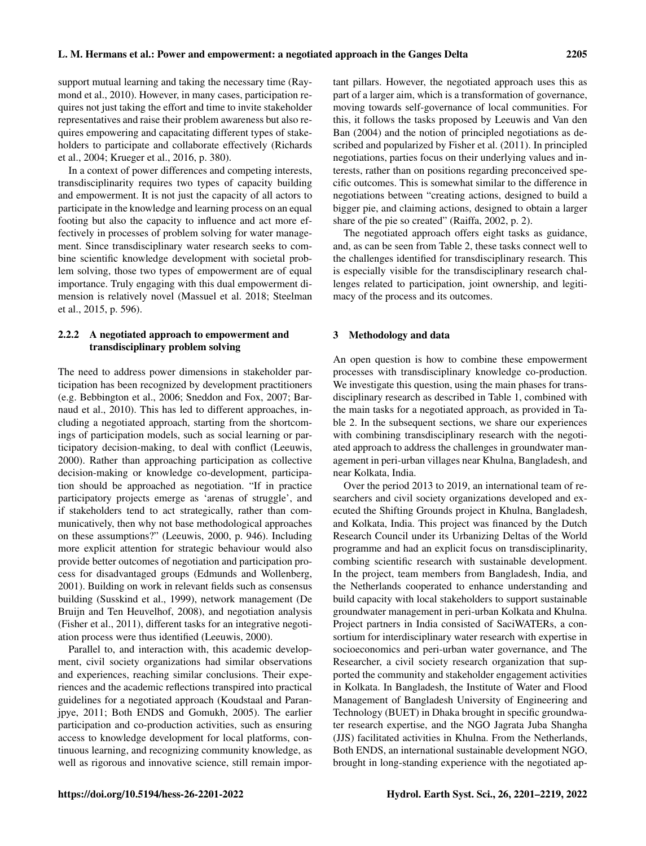support mutual learning and taking the necessary time (Raymond et al., 2010). However, in many cases, participation requires not just taking the effort and time to invite stakeholder representatives and raise their problem awareness but also requires empowering and capacitating different types of stakeholders to participate and collaborate effectively (Richards et al., 2004; Krueger et al., 2016, p. 380).

In a context of power differences and competing interests, transdisciplinarity requires two types of capacity building and empowerment. It is not just the capacity of all actors to participate in the knowledge and learning process on an equal footing but also the capacity to influence and act more effectively in processes of problem solving for water management. Since transdisciplinary water research seeks to combine scientific knowledge development with societal problem solving, those two types of empowerment are of equal importance. Truly engaging with this dual empowerment dimension is relatively novel (Massuel et al. 2018; Steelman et al., 2015, p. 596).

## 2.2.2 A negotiated approach to empowerment and transdisciplinary problem solving

The need to address power dimensions in stakeholder participation has been recognized by development practitioners (e.g. Bebbington et al., 2006; Sneddon and Fox, 2007; Barnaud et al., 2010). This has led to different approaches, including a negotiated approach, starting from the shortcomings of participation models, such as social learning or participatory decision-making, to deal with conflict (Leeuwis, 2000). Rather than approaching participation as collective decision-making or knowledge co-development, participation should be approached as negotiation. "If in practice participatory projects emerge as 'arenas of struggle', and if stakeholders tend to act strategically, rather than communicatively, then why not base methodological approaches on these assumptions?" (Leeuwis, 2000, p. 946). Including more explicit attention for strategic behaviour would also provide better outcomes of negotiation and participation process for disadvantaged groups (Edmunds and Wollenberg, 2001). Building on work in relevant fields such as consensus building (Susskind et al., 1999), network management (De Bruijn and Ten Heuvelhof, 2008), and negotiation analysis (Fisher et al., 2011), different tasks for an integrative negotiation process were thus identified (Leeuwis, 2000).

Parallel to, and interaction with, this academic development, civil society organizations had similar observations and experiences, reaching similar conclusions. Their experiences and the academic reflections transpired into practical guidelines for a negotiated approach (Koudstaal and Paranjpye, 2011; Both ENDS and Gomukh, 2005). The earlier participation and co-production activities, such as ensuring access to knowledge development for local platforms, continuous learning, and recognizing community knowledge, as well as rigorous and innovative science, still remain important pillars. However, the negotiated approach uses this as part of a larger aim, which is a transformation of governance, moving towards self-governance of local communities. For this, it follows the tasks proposed by Leeuwis and Van den Ban (2004) and the notion of principled negotiations as described and popularized by Fisher et al. (2011). In principled negotiations, parties focus on their underlying values and interests, rather than on positions regarding preconceived specific outcomes. This is somewhat similar to the difference in negotiations between "creating actions, designed to build a bigger pie, and claiming actions, designed to obtain a larger share of the pie so created" (Raiffa, 2002, p. 2).

The negotiated approach offers eight tasks as guidance, and, as can be seen from Table 2, these tasks connect well to the challenges identified for transdisciplinary research. This is especially visible for the transdisciplinary research challenges related to participation, joint ownership, and legitimacy of the process and its outcomes.

#### 3 Methodology and data

An open question is how to combine these empowerment processes with transdisciplinary knowledge co-production. We investigate this question, using the main phases for transdisciplinary research as described in Table 1, combined with the main tasks for a negotiated approach, as provided in Table 2. In the subsequent sections, we share our experiences with combining transdisciplinary research with the negotiated approach to address the challenges in groundwater management in peri-urban villages near Khulna, Bangladesh, and near Kolkata, India.

Over the period 2013 to 2019, an international team of researchers and civil society organizations developed and executed the Shifting Grounds project in Khulna, Bangladesh, and Kolkata, India. This project was financed by the Dutch Research Council under its Urbanizing Deltas of the World programme and had an explicit focus on transdisciplinarity, combing scientific research with sustainable development. In the project, team members from Bangladesh, India, and the Netherlands cooperated to enhance understanding and build capacity with local stakeholders to support sustainable groundwater management in peri-urban Kolkata and Khulna. Project partners in India consisted of SaciWATERs, a consortium for interdisciplinary water research with expertise in socioeconomics and peri-urban water governance, and The Researcher, a civil society research organization that supported the community and stakeholder engagement activities in Kolkata. In Bangladesh, the Institute of Water and Flood Management of Bangladesh University of Engineering and Technology (BUET) in Dhaka brought in specific groundwater research expertise, and the NGO Jagrata Juba Shangha (JJS) facilitated activities in Khulna. From the Netherlands, Both ENDS, an international sustainable development NGO, brought in long-standing experience with the negotiated ap-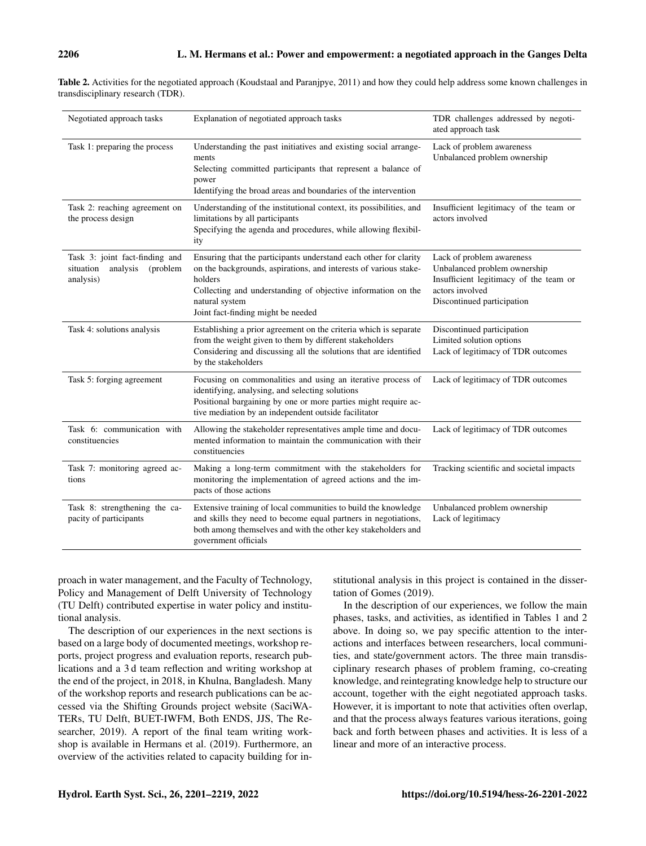| Negotiated approach tasks                                                        | Explanation of negotiated approach tasks                                                                                                                                                                                                                                | TDR challenges addressed by negoti-<br>ated approach task                                                                                            |
|----------------------------------------------------------------------------------|-------------------------------------------------------------------------------------------------------------------------------------------------------------------------------------------------------------------------------------------------------------------------|------------------------------------------------------------------------------------------------------------------------------------------------------|
| Task 1: preparing the process                                                    | Understanding the past initiatives and existing social arrange-<br>ments<br>Selecting committed participants that represent a balance of<br>power<br>Identifying the broad areas and boundaries of the intervention                                                     | Lack of problem awareness<br>Unbalanced problem ownership                                                                                            |
| Task 2: reaching agreement on<br>the process design                              | Understanding of the institutional context, its possibilities, and<br>limitations by all participants<br>Specifying the agenda and procedures, while allowing flexibil-<br>ity                                                                                          | Insufficient legitimacy of the team or<br>actors involved                                                                                            |
| Task 3: joint fact-finding and<br>analysis<br>(problem<br>situation<br>analysis) | Ensuring that the participants understand each other for clarity<br>on the backgrounds, aspirations, and interests of various stake-<br>holders<br>Collecting and understanding of objective information on the<br>natural system<br>Joint fact-finding might be needed | Lack of problem awareness<br>Unbalanced problem ownership<br>Insufficient legitimacy of the team or<br>actors involved<br>Discontinued participation |
| Task 4: solutions analysis                                                       | Establishing a prior agreement on the criteria which is separate<br>from the weight given to them by different stakeholders<br>Considering and discussing all the solutions that are identified<br>by the stakeholders                                                  | Discontinued participation<br>Limited solution options<br>Lack of legitimacy of TDR outcomes                                                         |
| Task 5: forging agreement                                                        | Focusing on commonalities and using an iterative process of<br>identifying, analysing, and selecting solutions<br>Positional bargaining by one or more parties might require ac-<br>tive mediation by an independent outside facilitator                                | Lack of legitimacy of TDR outcomes                                                                                                                   |
| Task 6: communication with<br>constituencies                                     | Allowing the stakeholder representatives ample time and docu-<br>mented information to maintain the communication with their<br>constituencies                                                                                                                          | Lack of legitimacy of TDR outcomes                                                                                                                   |
| Task 7: monitoring agreed ac-<br>tions                                           | Making a long-term commitment with the stakeholders for<br>monitoring the implementation of agreed actions and the im-<br>pacts of those actions                                                                                                                        | Tracking scientific and societal impacts                                                                                                             |
| Task 8: strengthening the ca-<br>pacity of participants                          | Extensive training of local communities to build the knowledge<br>and skills they need to become equal partners in negotiations,<br>both among themselves and with the other key stakeholders and<br>government officials                                               | Unbalanced problem ownership<br>Lack of legitimacy                                                                                                   |

Table 2. Activities for the negotiated approach (Koudstaal and Paranjpye, 2011) and how they could help address some known challenges in transdisciplinary research (TDR).

proach in water management, and the Faculty of Technology, Policy and Management of Delft University of Technology (TU Delft) contributed expertise in water policy and institutional analysis.

The description of our experiences in the next sections is based on a large body of documented meetings, workshop reports, project progress and evaluation reports, research publications and a 3 d team reflection and writing workshop at the end of the project, in 2018, in Khulna, Bangladesh. Many of the workshop reports and research publications can be accessed via the Shifting Grounds project website (SaciWA-TERs, TU Delft, BUET-IWFM, Both ENDS, JJS, The Researcher, 2019). A report of the final team writing workshop is available in Hermans et al. (2019). Furthermore, an overview of the activities related to capacity building for institutional analysis in this project is contained in the dissertation of Gomes (2019).

In the description of our experiences, we follow the main phases, tasks, and activities, as identified in Tables 1 and 2 above. In doing so, we pay specific attention to the interactions and interfaces between researchers, local communities, and state/government actors. The three main transdisciplinary research phases of problem framing, co-creating knowledge, and reintegrating knowledge help to structure our account, together with the eight negotiated approach tasks. However, it is important to note that activities often overlap, and that the process always features various iterations, going back and forth between phases and activities. It is less of a linear and more of an interactive process.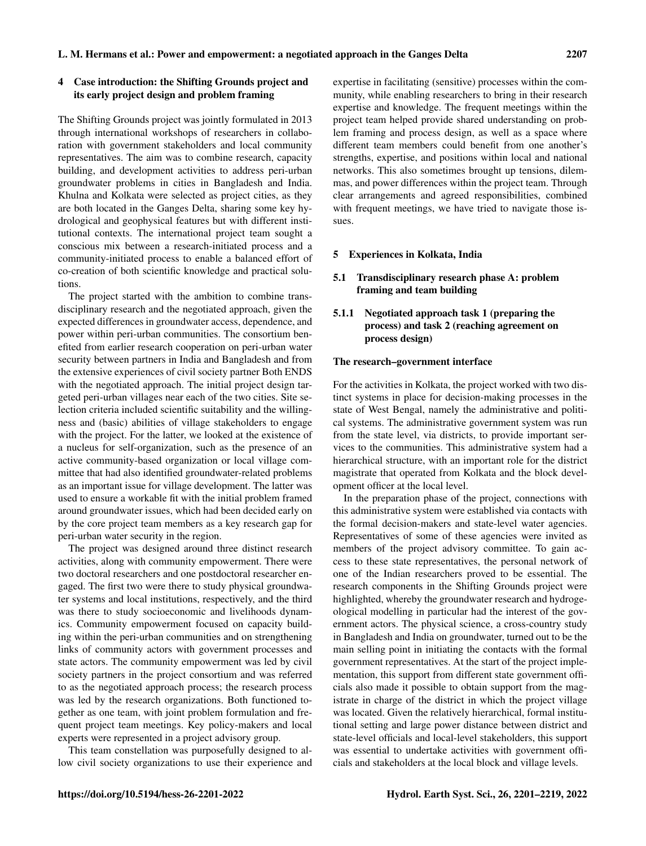#### 4 Case introduction: the Shifting Grounds project and its early project design and problem framing

The Shifting Grounds project was jointly formulated in 2013 through international workshops of researchers in collaboration with government stakeholders and local community representatives. The aim was to combine research, capacity building, and development activities to address peri-urban groundwater problems in cities in Bangladesh and India. Khulna and Kolkata were selected as project cities, as they are both located in the Ganges Delta, sharing some key hydrological and geophysical features but with different institutional contexts. The international project team sought a conscious mix between a research-initiated process and a community-initiated process to enable a balanced effort of co-creation of both scientific knowledge and practical solutions.

The project started with the ambition to combine transdisciplinary research and the negotiated approach, given the expected differences in groundwater access, dependence, and power within peri-urban communities. The consortium benefited from earlier research cooperation on peri-urban water security between partners in India and Bangladesh and from the extensive experiences of civil society partner Both ENDS with the negotiated approach. The initial project design targeted peri-urban villages near each of the two cities. Site selection criteria included scientific suitability and the willingness and (basic) abilities of village stakeholders to engage with the project. For the latter, we looked at the existence of a nucleus for self-organization, such as the presence of an active community-based organization or local village committee that had also identified groundwater-related problems as an important issue for village development. The latter was used to ensure a workable fit with the initial problem framed around groundwater issues, which had been decided early on by the core project team members as a key research gap for peri-urban water security in the region.

The project was designed around three distinct research activities, along with community empowerment. There were two doctoral researchers and one postdoctoral researcher engaged. The first two were there to study physical groundwater systems and local institutions, respectively, and the third was there to study socioeconomic and livelihoods dynamics. Community empowerment focused on capacity building within the peri-urban communities and on strengthening links of community actors with government processes and state actors. The community empowerment was led by civil society partners in the project consortium and was referred to as the negotiated approach process; the research process was led by the research organizations. Both functioned together as one team, with joint problem formulation and frequent project team meetings. Key policy-makers and local experts were represented in a project advisory group.

This team constellation was purposefully designed to allow civil society organizations to use their experience and expertise in facilitating (sensitive) processes within the community, while enabling researchers to bring in their research expertise and knowledge. The frequent meetings within the project team helped provide shared understanding on problem framing and process design, as well as a space where different team members could benefit from one another's strengths, expertise, and positions within local and national networks. This also sometimes brought up tensions, dilemmas, and power differences within the project team. Through clear arrangements and agreed responsibilities, combined with frequent meetings, we have tried to navigate those issues.

#### 5 Experiences in Kolkata, India

#### 5.1 Transdisciplinary research phase A: problem framing and team building

# 5.1.1 Negotiated approach task 1 (preparing the process) and task 2 (reaching agreement on process design)

#### The research–government interface

For the activities in Kolkata, the project worked with two distinct systems in place for decision-making processes in the state of West Bengal, namely the administrative and political systems. The administrative government system was run from the state level, via districts, to provide important services to the communities. This administrative system had a hierarchical structure, with an important role for the district magistrate that operated from Kolkata and the block development officer at the local level.

In the preparation phase of the project, connections with this administrative system were established via contacts with the formal decision-makers and state-level water agencies. Representatives of some of these agencies were invited as members of the project advisory committee. To gain access to these state representatives, the personal network of one of the Indian researchers proved to be essential. The research components in the Shifting Grounds project were highlighted, whereby the groundwater research and hydrogeological modelling in particular had the interest of the government actors. The physical science, a cross-country study in Bangladesh and India on groundwater, turned out to be the main selling point in initiating the contacts with the formal government representatives. At the start of the project implementation, this support from different state government officials also made it possible to obtain support from the magistrate in charge of the district in which the project village was located. Given the relatively hierarchical, formal institutional setting and large power distance between district and state-level officials and local-level stakeholders, this support was essential to undertake activities with government officials and stakeholders at the local block and village levels.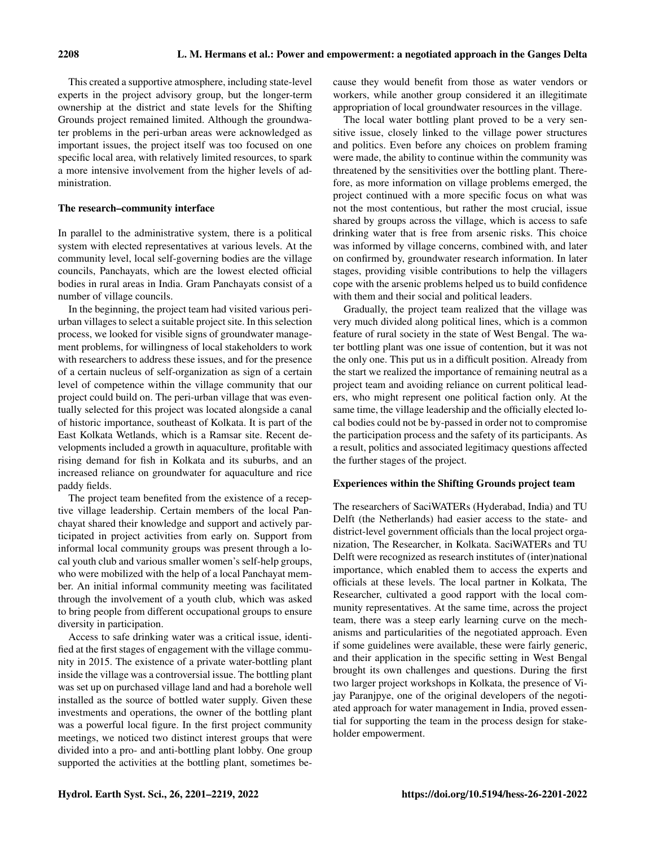This created a supportive atmosphere, including state-level experts in the project advisory group, but the longer-term ownership at the district and state levels for the Shifting Grounds project remained limited. Although the groundwater problems in the peri-urban areas were acknowledged as important issues, the project itself was too focused on one specific local area, with relatively limited resources, to spark a more intensive involvement from the higher levels of administration.

#### The research–community interface

In parallel to the administrative system, there is a political system with elected representatives at various levels. At the community level, local self-governing bodies are the village councils, Panchayats, which are the lowest elected official bodies in rural areas in India. Gram Panchayats consist of a number of village councils.

In the beginning, the project team had visited various periurban villages to select a suitable project site. In this selection process, we looked for visible signs of groundwater management problems, for willingness of local stakeholders to work with researchers to address these issues, and for the presence of a certain nucleus of self-organization as sign of a certain level of competence within the village community that our project could build on. The peri-urban village that was eventually selected for this project was located alongside a canal of historic importance, southeast of Kolkata. It is part of the East Kolkata Wetlands, which is a Ramsar site. Recent developments included a growth in aquaculture, profitable with rising demand for fish in Kolkata and its suburbs, and an increased reliance on groundwater for aquaculture and rice paddy fields.

The project team benefited from the existence of a receptive village leadership. Certain members of the local Panchayat shared their knowledge and support and actively participated in project activities from early on. Support from informal local community groups was present through a local youth club and various smaller women's self-help groups, who were mobilized with the help of a local Panchayat member. An initial informal community meeting was facilitated through the involvement of a youth club, which was asked to bring people from different occupational groups to ensure diversity in participation.

Access to safe drinking water was a critical issue, identified at the first stages of engagement with the village community in 2015. The existence of a private water-bottling plant inside the village was a controversial issue. The bottling plant was set up on purchased village land and had a borehole well installed as the source of bottled water supply. Given these investments and operations, the owner of the bottling plant was a powerful local figure. In the first project community meetings, we noticed two distinct interest groups that were divided into a pro- and anti-bottling plant lobby. One group supported the activities at the bottling plant, sometimes because they would benefit from those as water vendors or workers, while another group considered it an illegitimate appropriation of local groundwater resources in the village.

The local water bottling plant proved to be a very sensitive issue, closely linked to the village power structures and politics. Even before any choices on problem framing were made, the ability to continue within the community was threatened by the sensitivities over the bottling plant. Therefore, as more information on village problems emerged, the project continued with a more specific focus on what was not the most contentious, but rather the most crucial, issue shared by groups across the village, which is access to safe drinking water that is free from arsenic risks. This choice was informed by village concerns, combined with, and later on confirmed by, groundwater research information. In later stages, providing visible contributions to help the villagers cope with the arsenic problems helped us to build confidence with them and their social and political leaders.

Gradually, the project team realized that the village was very much divided along political lines, which is a common feature of rural society in the state of West Bengal. The water bottling plant was one issue of contention, but it was not the only one. This put us in a difficult position. Already from the start we realized the importance of remaining neutral as a project team and avoiding reliance on current political leaders, who might represent one political faction only. At the same time, the village leadership and the officially elected local bodies could not be by-passed in order not to compromise the participation process and the safety of its participants. As a result, politics and associated legitimacy questions affected the further stages of the project.

#### Experiences within the Shifting Grounds project team

The researchers of SaciWATERs (Hyderabad, India) and TU Delft (the Netherlands) had easier access to the state- and district-level government officials than the local project organization, The Researcher, in Kolkata. SaciWATERs and TU Delft were recognized as research institutes of (inter)national importance, which enabled them to access the experts and officials at these levels. The local partner in Kolkata, The Researcher, cultivated a good rapport with the local community representatives. At the same time, across the project team, there was a steep early learning curve on the mechanisms and particularities of the negotiated approach. Even if some guidelines were available, these were fairly generic, and their application in the specific setting in West Bengal brought its own challenges and questions. During the first two larger project workshops in Kolkata, the presence of Vijay Paranjpye, one of the original developers of the negotiated approach for water management in India, proved essential for supporting the team in the process design for stakeholder empowerment.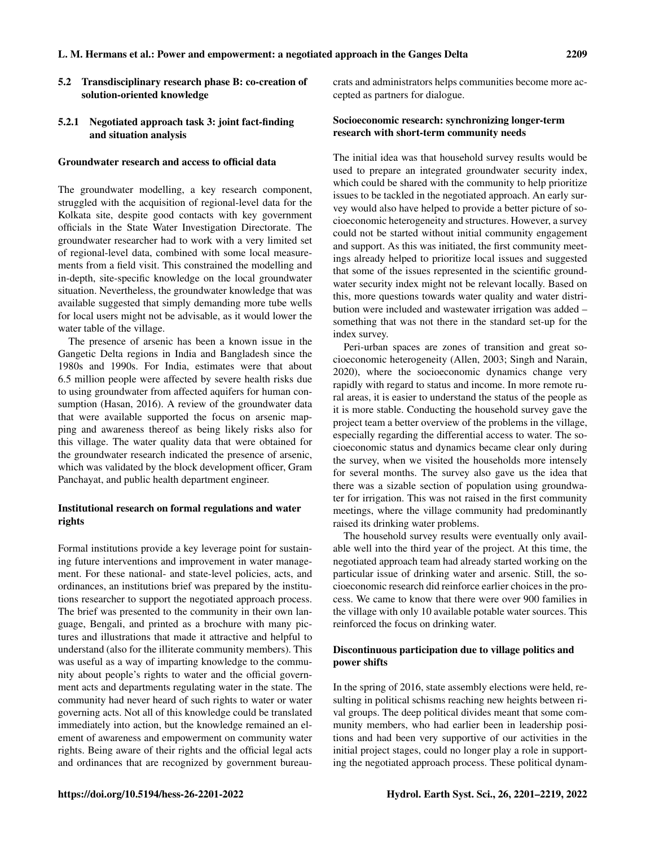#### 5.2 Transdisciplinary research phase B: co-creation of solution-oriented knowledge

#### 5.2.1 Negotiated approach task 3: joint fact-finding and situation analysis

#### Groundwater research and access to official data

The groundwater modelling, a key research component, struggled with the acquisition of regional-level data for the Kolkata site, despite good contacts with key government officials in the State Water Investigation Directorate. The groundwater researcher had to work with a very limited set of regional-level data, combined with some local measurements from a field visit. This constrained the modelling and in-depth, site-specific knowledge on the local groundwater situation. Nevertheless, the groundwater knowledge that was available suggested that simply demanding more tube wells for local users might not be advisable, as it would lower the water table of the village.

The presence of arsenic has been a known issue in the Gangetic Delta regions in India and Bangladesh since the 1980s and 1990s. For India, estimates were that about 6.5 million people were affected by severe health risks due to using groundwater from affected aquifers for human consumption (Hasan, 2016). A review of the groundwater data that were available supported the focus on arsenic mapping and awareness thereof as being likely risks also for this village. The water quality data that were obtained for the groundwater research indicated the presence of arsenic, which was validated by the block development officer, Gram Panchayat, and public health department engineer.

#### Institutional research on formal regulations and water rights

Formal institutions provide a key leverage point for sustaining future interventions and improvement in water management. For these national- and state-level policies, acts, and ordinances, an institutions brief was prepared by the institutions researcher to support the negotiated approach process. The brief was presented to the community in their own language, Bengali, and printed as a brochure with many pictures and illustrations that made it attractive and helpful to understand (also for the illiterate community members). This was useful as a way of imparting knowledge to the community about people's rights to water and the official government acts and departments regulating water in the state. The community had never heard of such rights to water or water governing acts. Not all of this knowledge could be translated immediately into action, but the knowledge remained an element of awareness and empowerment on community water rights. Being aware of their rights and the official legal acts and ordinances that are recognized by government bureaucrats and administrators helps communities become more accepted as partners for dialogue.

#### Socioeconomic research: synchronizing longer-term research with short-term community needs

The initial idea was that household survey results would be used to prepare an integrated groundwater security index, which could be shared with the community to help prioritize issues to be tackled in the negotiated approach. An early survey would also have helped to provide a better picture of socioeconomic heterogeneity and structures. However, a survey could not be started without initial community engagement and support. As this was initiated, the first community meetings already helped to prioritize local issues and suggested that some of the issues represented in the scientific groundwater security index might not be relevant locally. Based on this, more questions towards water quality and water distribution were included and wastewater irrigation was added – something that was not there in the standard set-up for the index survey.

Peri-urban spaces are zones of transition and great socioeconomic heterogeneity (Allen, 2003; Singh and Narain, 2020), where the socioeconomic dynamics change very rapidly with regard to status and income. In more remote rural areas, it is easier to understand the status of the people as it is more stable. Conducting the household survey gave the project team a better overview of the problems in the village, especially regarding the differential access to water. The socioeconomic status and dynamics became clear only during the survey, when we visited the households more intensely for several months. The survey also gave us the idea that there was a sizable section of population using groundwater for irrigation. This was not raised in the first community meetings, where the village community had predominantly raised its drinking water problems.

The household survey results were eventually only available well into the third year of the project. At this time, the negotiated approach team had already started working on the particular issue of drinking water and arsenic. Still, the socioeconomic research did reinforce earlier choices in the process. We came to know that there were over 900 families in the village with only 10 available potable water sources. This reinforced the focus on drinking water.

#### Discontinuous participation due to village politics and power shifts

In the spring of 2016, state assembly elections were held, resulting in political schisms reaching new heights between rival groups. The deep political divides meant that some community members, who had earlier been in leadership positions and had been very supportive of our activities in the initial project stages, could no longer play a role in supporting the negotiated approach process. These political dynam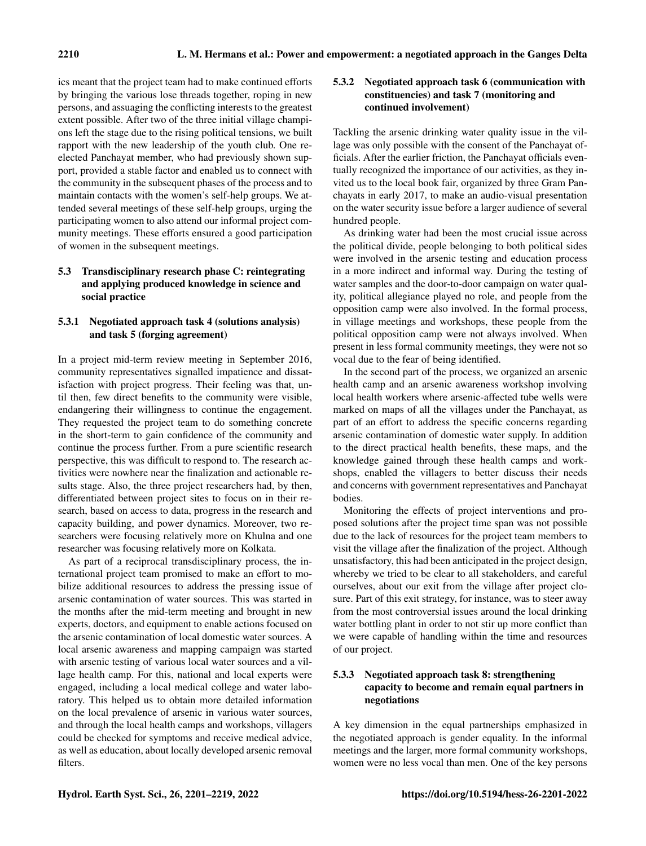ics meant that the project team had to make continued efforts by bringing the various lose threads together, roping in new persons, and assuaging the conflicting interests to the greatest extent possible. After two of the three initial village champions left the stage due to the rising political tensions, we built rapport with the new leadership of the youth club. One reelected Panchayat member, who had previously shown support, provided a stable factor and enabled us to connect with the community in the subsequent phases of the process and to maintain contacts with the women's self-help groups. We attended several meetings of these self-help groups, urging the participating women to also attend our informal project community meetings. These efforts ensured a good participation of women in the subsequent meetings.

# 5.3 Transdisciplinary research phase C: reintegrating and applying produced knowledge in science and social practice

## 5.3.1 Negotiated approach task 4 (solutions analysis) and task 5 (forging agreement)

In a project mid-term review meeting in September 2016, community representatives signalled impatience and dissatisfaction with project progress. Their feeling was that, until then, few direct benefits to the community were visible, endangering their willingness to continue the engagement. They requested the project team to do something concrete in the short-term to gain confidence of the community and continue the process further. From a pure scientific research perspective, this was difficult to respond to. The research activities were nowhere near the finalization and actionable results stage. Also, the three project researchers had, by then, differentiated between project sites to focus on in their research, based on access to data, progress in the research and capacity building, and power dynamics. Moreover, two researchers were focusing relatively more on Khulna and one researcher was focusing relatively more on Kolkata.

As part of a reciprocal transdisciplinary process, the international project team promised to make an effort to mobilize additional resources to address the pressing issue of arsenic contamination of water sources. This was started in the months after the mid-term meeting and brought in new experts, doctors, and equipment to enable actions focused on the arsenic contamination of local domestic water sources. A local arsenic awareness and mapping campaign was started with arsenic testing of various local water sources and a village health camp. For this, national and local experts were engaged, including a local medical college and water laboratory. This helped us to obtain more detailed information on the local prevalence of arsenic in various water sources, and through the local health camps and workshops, villagers could be checked for symptoms and receive medical advice, as well as education, about locally developed arsenic removal filters.

# 5.3.2 Negotiated approach task 6 (communication with constituencies) and task 7 (monitoring and continued involvement)

Tackling the arsenic drinking water quality issue in the village was only possible with the consent of the Panchayat officials. After the earlier friction, the Panchayat officials eventually recognized the importance of our activities, as they invited us to the local book fair, organized by three Gram Panchayats in early 2017, to make an audio-visual presentation on the water security issue before a larger audience of several hundred people.

As drinking water had been the most crucial issue across the political divide, people belonging to both political sides were involved in the arsenic testing and education process in a more indirect and informal way. During the testing of water samples and the door-to-door campaign on water quality, political allegiance played no role, and people from the opposition camp were also involved. In the formal process, in village meetings and workshops, these people from the political opposition camp were not always involved. When present in less formal community meetings, they were not so vocal due to the fear of being identified.

In the second part of the process, we organized an arsenic health camp and an arsenic awareness workshop involving local health workers where arsenic-affected tube wells were marked on maps of all the villages under the Panchayat, as part of an effort to address the specific concerns regarding arsenic contamination of domestic water supply. In addition to the direct practical health benefits, these maps, and the knowledge gained through these health camps and workshops, enabled the villagers to better discuss their needs and concerns with government representatives and Panchayat bodies.

Monitoring the effects of project interventions and proposed solutions after the project time span was not possible due to the lack of resources for the project team members to visit the village after the finalization of the project. Although unsatisfactory, this had been anticipated in the project design, whereby we tried to be clear to all stakeholders, and careful ourselves, about our exit from the village after project closure. Part of this exit strategy, for instance, was to steer away from the most controversial issues around the local drinking water bottling plant in order to not stir up more conflict than we were capable of handling within the time and resources of our project.

# 5.3.3 Negotiated approach task 8: strengthening capacity to become and remain equal partners in negotiations

A key dimension in the equal partnerships emphasized in the negotiated approach is gender equality. In the informal meetings and the larger, more formal community workshops, women were no less vocal than men. One of the key persons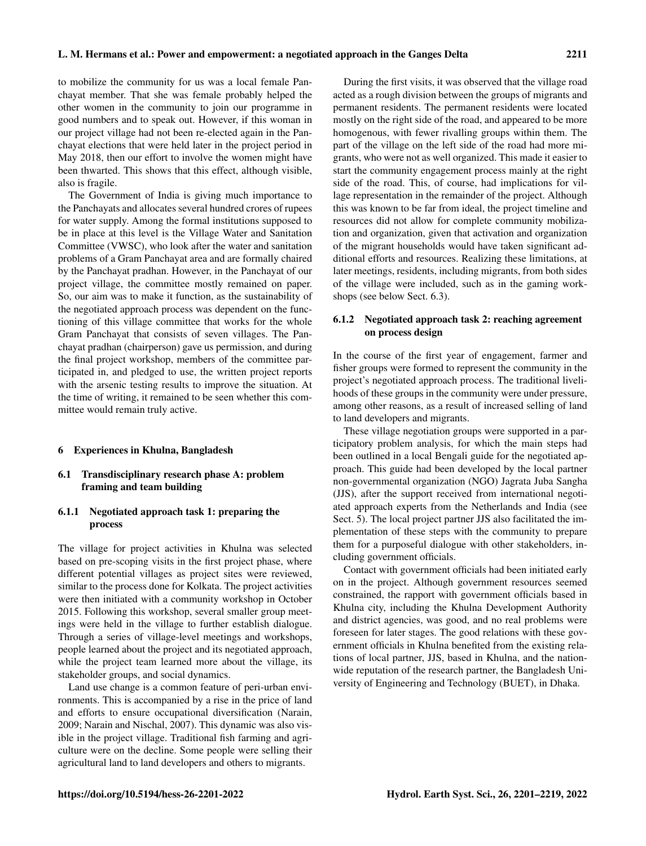to mobilize the community for us was a local female Panchayat member. That she was female probably helped the other women in the community to join our programme in good numbers and to speak out. However, if this woman in our project village had not been re-elected again in the Panchayat elections that were held later in the project period in May 2018, then our effort to involve the women might have been thwarted. This shows that this effect, although visible, also is fragile.

The Government of India is giving much importance to the Panchayats and allocates several hundred crores of rupees for water supply. Among the formal institutions supposed to be in place at this level is the Village Water and Sanitation Committee (VWSC), who look after the water and sanitation problems of a Gram Panchayat area and are formally chaired by the Panchayat pradhan. However, in the Panchayat of our project village, the committee mostly remained on paper. So, our aim was to make it function, as the sustainability of the negotiated approach process was dependent on the functioning of this village committee that works for the whole Gram Panchayat that consists of seven villages. The Panchayat pradhan (chairperson) gave us permission, and during the final project workshop, members of the committee participated in, and pledged to use, the written project reports with the arsenic testing results to improve the situation. At the time of writing, it remained to be seen whether this committee would remain truly active.

#### 6 Experiences in Khulna, Bangladesh

#### 6.1 Transdisciplinary research phase A: problem framing and team building

#### 6.1.1 Negotiated approach task 1: preparing the process

The village for project activities in Khulna was selected based on pre-scoping visits in the first project phase, where different potential villages as project sites were reviewed, similar to the process done for Kolkata. The project activities were then initiated with a community workshop in October 2015. Following this workshop, several smaller group meetings were held in the village to further establish dialogue. Through a series of village-level meetings and workshops, people learned about the project and its negotiated approach, while the project team learned more about the village, its stakeholder groups, and social dynamics.

Land use change is a common feature of peri-urban environments. This is accompanied by a rise in the price of land and efforts to ensure occupational diversification (Narain, 2009; Narain and Nischal, 2007). This dynamic was also visible in the project village. Traditional fish farming and agriculture were on the decline. Some people were selling their agricultural land to land developers and others to migrants.

During the first visits, it was observed that the village road acted as a rough division between the groups of migrants and permanent residents. The permanent residents were located mostly on the right side of the road, and appeared to be more homogenous, with fewer rivalling groups within them. The part of the village on the left side of the road had more migrants, who were not as well organized. This made it easier to start the community engagement process mainly at the right side of the road. This, of course, had implications for village representation in the remainder of the project. Although this was known to be far from ideal, the project timeline and resources did not allow for complete community mobilization and organization, given that activation and organization of the migrant households would have taken significant additional efforts and resources. Realizing these limitations, at later meetings, residents, including migrants, from both sides of the village were included, such as in the gaming workshops (see below Sect. 6.3).

#### 6.1.2 Negotiated approach task 2: reaching agreement on process design

In the course of the first year of engagement, farmer and fisher groups were formed to represent the community in the project's negotiated approach process. The traditional livelihoods of these groups in the community were under pressure, among other reasons, as a result of increased selling of land to land developers and migrants.

These village negotiation groups were supported in a participatory problem analysis, for which the main steps had been outlined in a local Bengali guide for the negotiated approach. This guide had been developed by the local partner non-governmental organization (NGO) Jagrata Juba Sangha (JJS), after the support received from international negotiated approach experts from the Netherlands and India (see Sect. 5). The local project partner JJS also facilitated the implementation of these steps with the community to prepare them for a purposeful dialogue with other stakeholders, including government officials.

Contact with government officials had been initiated early on in the project. Although government resources seemed constrained, the rapport with government officials based in Khulna city, including the Khulna Development Authority and district agencies, was good, and no real problems were foreseen for later stages. The good relations with these government officials in Khulna benefited from the existing relations of local partner, JJS, based in Khulna, and the nationwide reputation of the research partner, the Bangladesh University of Engineering and Technology (BUET), in Dhaka.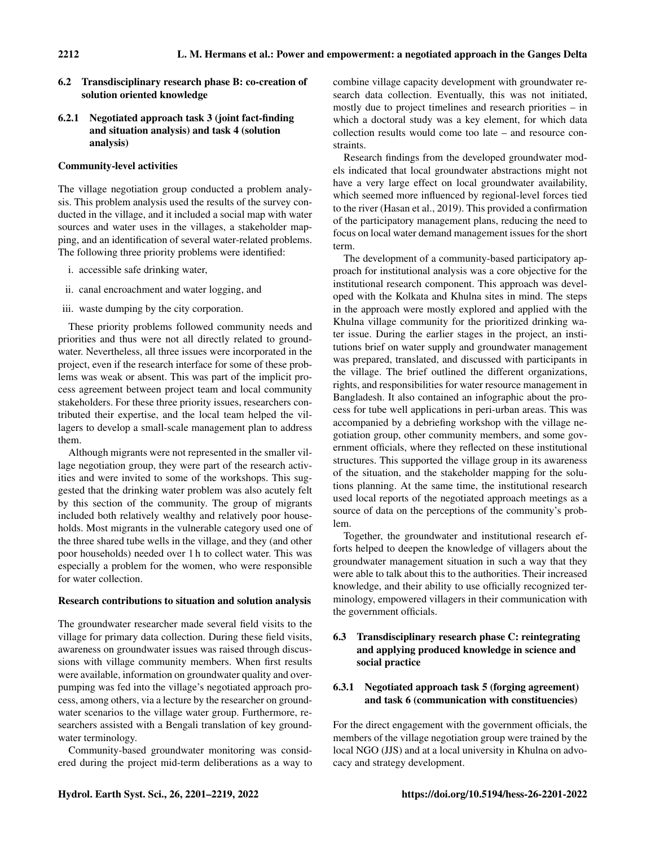- 6.2 Transdisciplinary research phase B: co-creation of solution oriented knowledge
- 6.2.1 Negotiated approach task 3 (joint fact-finding and situation analysis) and task 4 (solution analysis)

## Community-level activities

The village negotiation group conducted a problem analysis. This problem analysis used the results of the survey conducted in the village, and it included a social map with water sources and water uses in the villages, a stakeholder mapping, and an identification of several water-related problems. The following three priority problems were identified:

- i. accessible safe drinking water,
- ii. canal encroachment and water logging, and
- iii. waste dumping by the city corporation.

These priority problems followed community needs and priorities and thus were not all directly related to groundwater. Nevertheless, all three issues were incorporated in the project, even if the research interface for some of these problems was weak or absent. This was part of the implicit process agreement between project team and local community stakeholders. For these three priority issues, researchers contributed their expertise, and the local team helped the villagers to develop a small-scale management plan to address them.

Although migrants were not represented in the smaller village negotiation group, they were part of the research activities and were invited to some of the workshops. This suggested that the drinking water problem was also acutely felt by this section of the community. The group of migrants included both relatively wealthy and relatively poor households. Most migrants in the vulnerable category used one of the three shared tube wells in the village, and they (and other poor households) needed over 1 h to collect water. This was especially a problem for the women, who were responsible for water collection.

## Research contributions to situation and solution analysis

The groundwater researcher made several field visits to the village for primary data collection. During these field visits, awareness on groundwater issues was raised through discussions with village community members. When first results were available, information on groundwater quality and overpumping was fed into the village's negotiated approach process, among others, via a lecture by the researcher on groundwater scenarios to the village water group. Furthermore, researchers assisted with a Bengali translation of key groundwater terminology.

Community-based groundwater monitoring was considered during the project mid-term deliberations as a way to combine village capacity development with groundwater research data collection. Eventually, this was not initiated, mostly due to project timelines and research priorities – in which a doctoral study was a key element, for which data collection results would come too late – and resource constraints.

Research findings from the developed groundwater models indicated that local groundwater abstractions might not have a very large effect on local groundwater availability, which seemed more influenced by regional-level forces tied to the river (Hasan et al., 2019). This provided a confirmation of the participatory management plans, reducing the need to focus on local water demand management issues for the short term.

The development of a community-based participatory approach for institutional analysis was a core objective for the institutional research component. This approach was developed with the Kolkata and Khulna sites in mind. The steps in the approach were mostly explored and applied with the Khulna village community for the prioritized drinking water issue. During the earlier stages in the project, an institutions brief on water supply and groundwater management was prepared, translated, and discussed with participants in the village. The brief outlined the different organizations, rights, and responsibilities for water resource management in Bangladesh. It also contained an infographic about the process for tube well applications in peri-urban areas. This was accompanied by a debriefing workshop with the village negotiation group, other community members, and some government officials, where they reflected on these institutional structures. This supported the village group in its awareness of the situation, and the stakeholder mapping for the solutions planning. At the same time, the institutional research used local reports of the negotiated approach meetings as a source of data on the perceptions of the community's problem.

Together, the groundwater and institutional research efforts helped to deepen the knowledge of villagers about the groundwater management situation in such a way that they were able to talk about this to the authorities. Their increased knowledge, and their ability to use officially recognized terminology, empowered villagers in their communication with the government officials.

# 6.3 Transdisciplinary research phase C: reintegrating and applying produced knowledge in science and social practice

# 6.3.1 Negotiated approach task 5 (forging agreement) and task 6 (communication with constituencies)

For the direct engagement with the government officials, the members of the village negotiation group were trained by the local NGO (JJS) and at a local university in Khulna on advocacy and strategy development.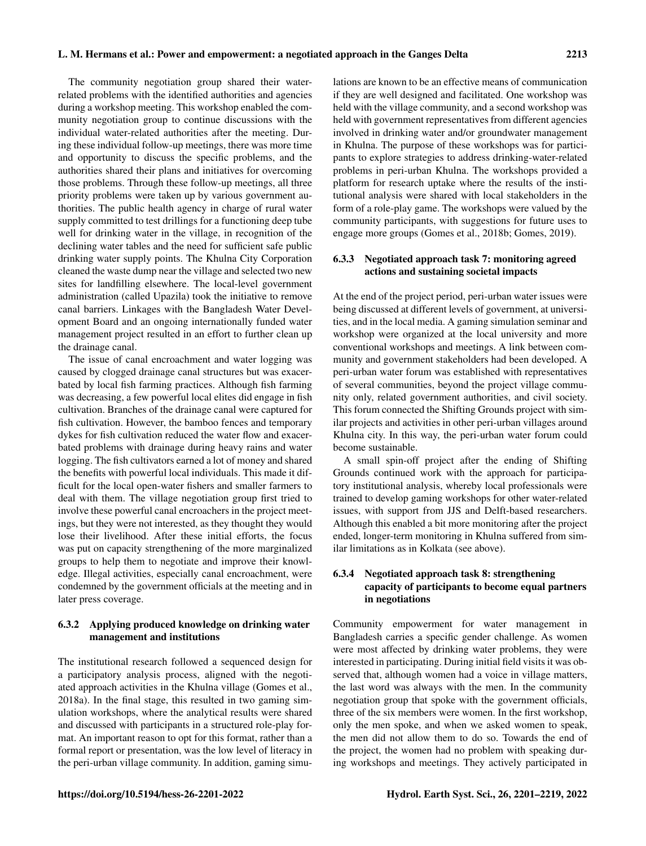The community negotiation group shared their waterrelated problems with the identified authorities and agencies during a workshop meeting. This workshop enabled the community negotiation group to continue discussions with the individual water-related authorities after the meeting. During these individual follow-up meetings, there was more time and opportunity to discuss the specific problems, and the authorities shared their plans and initiatives for overcoming those problems. Through these follow-up meetings, all three priority problems were taken up by various government authorities. The public health agency in charge of rural water supply committed to test drillings for a functioning deep tube well for drinking water in the village, in recognition of the declining water tables and the need for sufficient safe public drinking water supply points. The Khulna City Corporation cleaned the waste dump near the village and selected two new sites for landfilling elsewhere. The local-level government administration (called Upazila) took the initiative to remove canal barriers. Linkages with the Bangladesh Water Development Board and an ongoing internationally funded water management project resulted in an effort to further clean up the drainage canal.

The issue of canal encroachment and water logging was caused by clogged drainage canal structures but was exacerbated by local fish farming practices. Although fish farming was decreasing, a few powerful local elites did engage in fish cultivation. Branches of the drainage canal were captured for fish cultivation. However, the bamboo fences and temporary dykes for fish cultivation reduced the water flow and exacerbated problems with drainage during heavy rains and water logging. The fish cultivators earned a lot of money and shared the benefits with powerful local individuals. This made it difficult for the local open-water fishers and smaller farmers to deal with them. The village negotiation group first tried to involve these powerful canal encroachers in the project meetings, but they were not interested, as they thought they would lose their livelihood. After these initial efforts, the focus was put on capacity strengthening of the more marginalized groups to help them to negotiate and improve their knowledge. Illegal activities, especially canal encroachment, were condemned by the government officials at the meeting and in later press coverage.

## 6.3.2 Applying produced knowledge on drinking water management and institutions

The institutional research followed a sequenced design for a participatory analysis process, aligned with the negotiated approach activities in the Khulna village (Gomes et al., 2018a). In the final stage, this resulted in two gaming simulation workshops, where the analytical results were shared and discussed with participants in a structured role-play format. An important reason to opt for this format, rather than a formal report or presentation, was the low level of literacy in the peri-urban village community. In addition, gaming simulations are known to be an effective means of communication if they are well designed and facilitated. One workshop was held with the village community, and a second workshop was held with government representatives from different agencies involved in drinking water and/or groundwater management in Khulna. The purpose of these workshops was for participants to explore strategies to address drinking-water-related problems in peri-urban Khulna. The workshops provided a platform for research uptake where the results of the institutional analysis were shared with local stakeholders in the form of a role-play game. The workshops were valued by the community participants, with suggestions for future uses to engage more groups (Gomes et al., 2018b; Gomes, 2019).

## 6.3.3 Negotiated approach task 7: monitoring agreed actions and sustaining societal impacts

At the end of the project period, peri-urban water issues were being discussed at different levels of government, at universities, and in the local media. A gaming simulation seminar and workshop were organized at the local university and more conventional workshops and meetings. A link between community and government stakeholders had been developed. A peri-urban water forum was established with representatives of several communities, beyond the project village community only, related government authorities, and civil society. This forum connected the Shifting Grounds project with similar projects and activities in other peri-urban villages around Khulna city. In this way, the peri-urban water forum could become sustainable.

A small spin-off project after the ending of Shifting Grounds continued work with the approach for participatory institutional analysis, whereby local professionals were trained to develop gaming workshops for other water-related issues, with support from JJS and Delft-based researchers. Although this enabled a bit more monitoring after the project ended, longer-term monitoring in Khulna suffered from similar limitations as in Kolkata (see above).

#### 6.3.4 Negotiated approach task 8: strengthening capacity of participants to become equal partners in negotiations

Community empowerment for water management in Bangladesh carries a specific gender challenge. As women were most affected by drinking water problems, they were interested in participating. During initial field visits it was observed that, although women had a voice in village matters, the last word was always with the men. In the community negotiation group that spoke with the government officials, three of the six members were women. In the first workshop, only the men spoke, and when we asked women to speak, the men did not allow them to do so. Towards the end of the project, the women had no problem with speaking during workshops and meetings. They actively participated in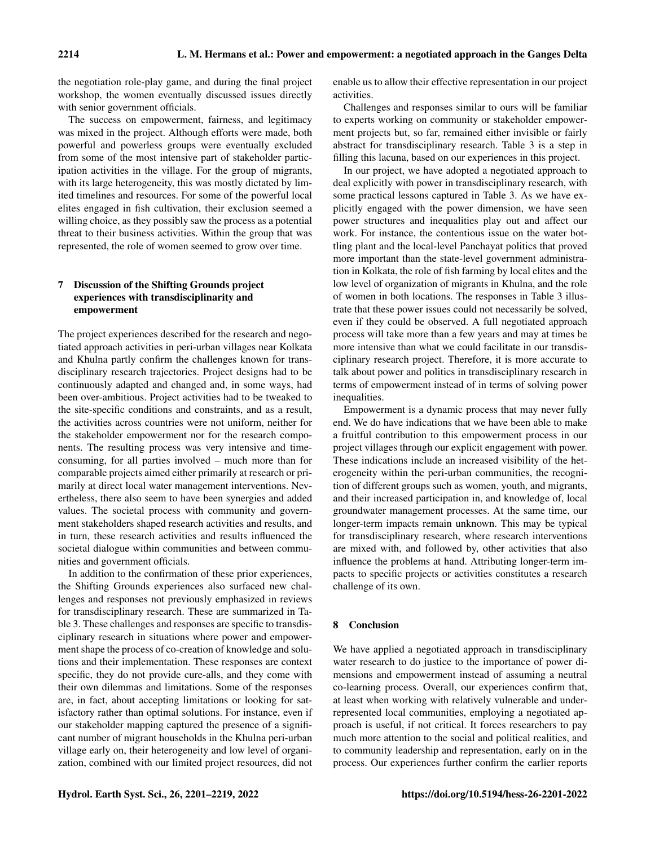the negotiation role-play game, and during the final project workshop, the women eventually discussed issues directly with senior government officials.

The success on empowerment, fairness, and legitimacy was mixed in the project. Although efforts were made, both powerful and powerless groups were eventually excluded from some of the most intensive part of stakeholder participation activities in the village. For the group of migrants, with its large heterogeneity, this was mostly dictated by limited timelines and resources. For some of the powerful local elites engaged in fish cultivation, their exclusion seemed a willing choice, as they possibly saw the process as a potential threat to their business activities. Within the group that was represented, the role of women seemed to grow over time.

## 7 Discussion of the Shifting Grounds project experiences with transdisciplinarity and empowerment

The project experiences described for the research and negotiated approach activities in peri-urban villages near Kolkata and Khulna partly confirm the challenges known for transdisciplinary research trajectories. Project designs had to be continuously adapted and changed and, in some ways, had been over-ambitious. Project activities had to be tweaked to the site-specific conditions and constraints, and as a result, the activities across countries were not uniform, neither for the stakeholder empowerment nor for the research components. The resulting process was very intensive and timeconsuming, for all parties involved – much more than for comparable projects aimed either primarily at research or primarily at direct local water management interventions. Nevertheless, there also seem to have been synergies and added values. The societal process with community and government stakeholders shaped research activities and results, and in turn, these research activities and results influenced the societal dialogue within communities and between communities and government officials.

In addition to the confirmation of these prior experiences, the Shifting Grounds experiences also surfaced new challenges and responses not previously emphasized in reviews for transdisciplinary research. These are summarized in Table 3. These challenges and responses are specific to transdisciplinary research in situations where power and empowerment shape the process of co-creation of knowledge and solutions and their implementation. These responses are context specific, they do not provide cure-alls, and they come with their own dilemmas and limitations. Some of the responses are, in fact, about accepting limitations or looking for satisfactory rather than optimal solutions. For instance, even if our stakeholder mapping captured the presence of a significant number of migrant households in the Khulna peri-urban village early on, their heterogeneity and low level of organization, combined with our limited project resources, did not

enable us to allow their effective representation in our project activities.

Challenges and responses similar to ours will be familiar to experts working on community or stakeholder empowerment projects but, so far, remained either invisible or fairly abstract for transdisciplinary research. Table 3 is a step in filling this lacuna, based on our experiences in this project.

In our project, we have adopted a negotiated approach to deal explicitly with power in transdisciplinary research, with some practical lessons captured in Table 3. As we have explicitly engaged with the power dimension, we have seen power structures and inequalities play out and affect our work. For instance, the contentious issue on the water bottling plant and the local-level Panchayat politics that proved more important than the state-level government administration in Kolkata, the role of fish farming by local elites and the low level of organization of migrants in Khulna, and the role of women in both locations. The responses in Table 3 illustrate that these power issues could not necessarily be solved, even if they could be observed. A full negotiated approach process will take more than a few years and may at times be more intensive than what we could facilitate in our transdisciplinary research project. Therefore, it is more accurate to talk about power and politics in transdisciplinary research in terms of empowerment instead of in terms of solving power inequalities.

Empowerment is a dynamic process that may never fully end. We do have indications that we have been able to make a fruitful contribution to this empowerment process in our project villages through our explicit engagement with power. These indications include an increased visibility of the heterogeneity within the peri-urban communities, the recognition of different groups such as women, youth, and migrants, and their increased participation in, and knowledge of, local groundwater management processes. At the same time, our longer-term impacts remain unknown. This may be typical for transdisciplinary research, where research interventions are mixed with, and followed by, other activities that also influence the problems at hand. Attributing longer-term impacts to specific projects or activities constitutes a research challenge of its own.

#### 8 Conclusion

We have applied a negotiated approach in transdisciplinary water research to do justice to the importance of power dimensions and empowerment instead of assuming a neutral co-learning process. Overall, our experiences confirm that, at least when working with relatively vulnerable and underrepresented local communities, employing a negotiated approach is useful, if not critical. It forces researchers to pay much more attention to the social and political realities, and to community leadership and representation, early on in the process. Our experiences further confirm the earlier reports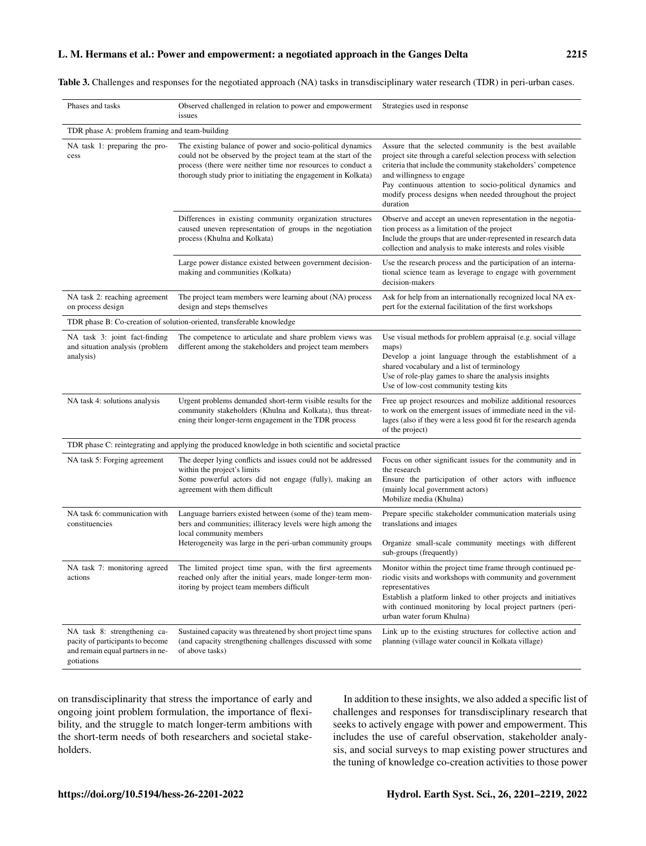#### L. M. Hermans et al.: Power and empowerment: a negotiated approach in the Ganges Delta 2215

Table 3. Challenges and responses for the negotiated approach (NA) tasks in transdisciplinary water research (TDR) in peri-urban cases.

| Phases and tasks                                                                                                   | Observed challenged in relation to power and empowerment<br>issues                                                                                                                                                                                          | Strategies used in response                                                                                                                                                                                                                                                                                                                                   |
|--------------------------------------------------------------------------------------------------------------------|-------------------------------------------------------------------------------------------------------------------------------------------------------------------------------------------------------------------------------------------------------------|---------------------------------------------------------------------------------------------------------------------------------------------------------------------------------------------------------------------------------------------------------------------------------------------------------------------------------------------------------------|
| TDR phase A: problem framing and team-building                                                                     |                                                                                                                                                                                                                                                             |                                                                                                                                                                                                                                                                                                                                                               |
| NA task 1: preparing the pro-<br>cess                                                                              | The existing balance of power and socio-political dynamics<br>could not be observed by the project team at the start of the<br>process (there were neither time nor resources to conduct a<br>thorough study prior to initiating the engagement in Kolkata) | Assure that the selected community is the best available<br>project site through a careful selection process with selection<br>criteria that include the community stakeholders' competence<br>and willingness to engage<br>Pay continuous attention to socio-political dynamics and<br>modify process designs when needed throughout the project<br>duration |
|                                                                                                                    | Differences in existing community organization structures<br>caused uneven representation of groups in the negotiation<br>process (Khulna and Kolkata)                                                                                                      | Observe and accept an uneven representation in the negotia-<br>tion process as a limitation of the project<br>Include the groups that are under-represented in research data<br>collection and analysis to make interests and roles visible                                                                                                                   |
|                                                                                                                    | Large power distance existed between government decision-<br>making and communities (Kolkata)                                                                                                                                                               | Use the research process and the participation of an interna-<br>tional science team as leverage to engage with government<br>decision-makers                                                                                                                                                                                                                 |
| NA task 2: reaching agreement<br>on process design                                                                 | The project team members were learning about (NA) process<br>design and steps themselves                                                                                                                                                                    | Ask for help from an internationally recognized local NA ex-<br>pert for the external facilitation of the first workshops                                                                                                                                                                                                                                     |
|                                                                                                                    | TDR phase B: Co-creation of solution-oriented, transferable knowledge                                                                                                                                                                                       |                                                                                                                                                                                                                                                                                                                                                               |
| NA task 3: joint fact-finding<br>and situation analysis (problem<br>analysis)                                      | The competence to articulate and share problem views was<br>different among the stakeholders and project team members                                                                                                                                       | Use visual methods for problem appraisal (e.g. social village<br>maps)<br>Develop a joint language through the establishment of a<br>shared vocabulary and a list of terminology<br>Use of role-play games to share the analysis insights<br>Use of low-cost community testing kits                                                                           |
| NA task 4: solutions analysis                                                                                      | Urgent problems demanded short-term visible results for the<br>community stakeholders (Khulna and Kolkata), thus threat-<br>ening their longer-term engagement in the TDR process                                                                           | Free up project resources and mobilize additional resources<br>to work on the emergent issues of immediate need in the vil-<br>lages (also if they were a less good fit for the research agenda<br>of the project)                                                                                                                                            |
|                                                                                                                    | TDR phase C: reintegrating and applying the produced knowledge in both scientific and societal practice                                                                                                                                                     |                                                                                                                                                                                                                                                                                                                                                               |
| NA task 5: Forging agreement                                                                                       | The deeper lying conflicts and issues could not be addressed<br>within the project's limits<br>Some powerful actors did not engage (fully), making an<br>agreement with them difficult                                                                      | Focus on other significant issues for the community and in<br>the research<br>Ensure the participation of other actors with influence<br>(mainly local government actors)<br>Mobilize media (Khulna)                                                                                                                                                          |
| NA task 6: communication with<br>constituencies                                                                    | Language barriers existed between (some of the) team mem-<br>bers and communities; illiteracy levels were high among the<br>local community members                                                                                                         | Prepare specific stakeholder communication materials using<br>translations and images                                                                                                                                                                                                                                                                         |
|                                                                                                                    | Heterogeneity was large in the peri-urban community groups                                                                                                                                                                                                  | Organize small-scale community meetings with different<br>sub-groups (frequently)                                                                                                                                                                                                                                                                             |
| NA task 7: monitoring agreed<br>actions                                                                            | The limited project time span, with the first agreements<br>reached only after the initial years, made longer-term mon-<br>itoring by project team members difficult                                                                                        | Monitor within the project time frame through continued pe-<br>riodic visits and workshops with community and government<br>representatives<br>Establish a platform linked to other projects and initiatives<br>with continued monitoring by local project partners (peri-<br>urban water forum Khulna)                                                       |
| NA task 8: strengthening ca-<br>pacity of participants to become<br>and remain equal partners in ne-<br>gotiations | Sustained capacity was threatened by short project time spans<br>(and capacity strengthening challenges discussed with some<br>of above tasks)                                                                                                              | Link up to the existing structures for collective action and<br>planning (village water council in Kolkata village)                                                                                                                                                                                                                                           |

on transdisciplinarity that stress the importance of early and ongoing joint problem formulation, the importance of flexibility, and the struggle to match longer-term ambitions with the short-term needs of both researchers and societal stakeholders.

In addition to these insights, we also added a specific list of challenges and responses for transdisciplinary research that seeks to actively engage with power and empowerment. This includes the use of careful observation, stakeholder analysis, and social surveys to map existing power structures and the tuning of knowledge co-creation activities to those power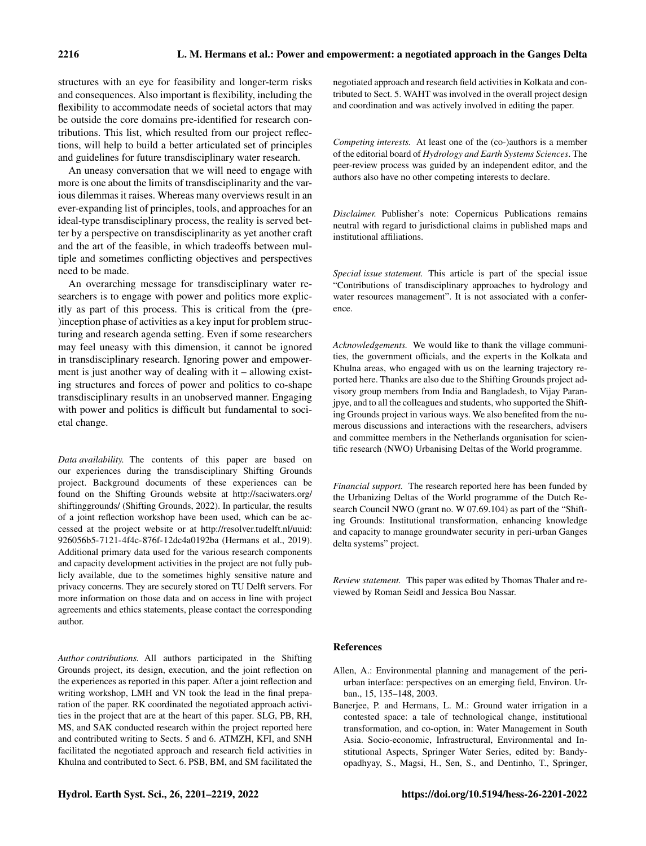structures with an eye for feasibility and longer-term risks and consequences. Also important is flexibility, including the flexibility to accommodate needs of societal actors that may be outside the core domains pre-identified for research contributions. This list, which resulted from our project reflections, will help to build a better articulated set of principles and guidelines for future transdisciplinary water research.

An uneasy conversation that we will need to engage with more is one about the limits of transdisciplinarity and the various dilemmas it raises. Whereas many overviews result in an ever-expanding list of principles, tools, and approaches for an ideal-type transdisciplinary process, the reality is served better by a perspective on transdisciplinarity as yet another craft and the art of the feasible, in which tradeoffs between multiple and sometimes conflicting objectives and perspectives need to be made.

An overarching message for transdisciplinary water researchers is to engage with power and politics more explicitly as part of this process. This is critical from the (pre- )inception phase of activities as a key input for problem structuring and research agenda setting. Even if some researchers may feel uneasy with this dimension, it cannot be ignored in transdisciplinary research. Ignoring power and empowerment is just another way of dealing with it – allowing existing structures and forces of power and politics to co-shape transdisciplinary results in an unobserved manner. Engaging with power and politics is difficult but fundamental to societal change.

*Data availability.* The contents of this paper are based on our experiences during the transdisciplinary Shifting Grounds project. Background documents of these experiences can be found on the Shifting Grounds website at [http://saciwaters.org/](http://saciwaters.org/shiftinggrounds/) [shiftinggrounds/](http://saciwaters.org/shiftinggrounds/) (Shifting Grounds, 2022). In particular, the results of a joint reflection workshop have been used, which can be accessed at the project website or at [http://resolver.tudelft.nl/uuid:](http://resolver.tudelft.nl/uuid:926056b5-7121-4f4c-876f-12dc4a0192ba) [926056b5-7121-4f4c-876f-12dc4a0192ba](http://resolver.tudelft.nl/uuid:926056b5-7121-4f4c-876f-12dc4a0192ba) (Hermans et al., 2019). Additional primary data used for the various research components and capacity development activities in the project are not fully publicly available, due to the sometimes highly sensitive nature and privacy concerns. They are securely stored on TU Delft servers. For more information on those data and on access in line with project agreements and ethics statements, please contact the corresponding author.

*Author contributions.* All authors participated in the Shifting Grounds project, its design, execution, and the joint reflection on the experiences as reported in this paper. After a joint reflection and writing workshop, LMH and VN took the lead in the final preparation of the paper. RK coordinated the negotiated approach activities in the project that are at the heart of this paper. SLG, PB, RH, MS, and SAK conducted research within the project reported here and contributed writing to Sects. 5 and 6. ATMZH, KFI, and SNH facilitated the negotiated approach and research field activities in Khulna and contributed to Sect. 6. PSB, BM, and SM facilitated the negotiated approach and research field activities in Kolkata and contributed to Sect. 5. WAHT was involved in the overall project design and coordination and was actively involved in editing the paper.

*Competing interests.* At least one of the (co-)authors is a member of the editorial board of *Hydrology and Earth Systems Sciences*. The peer-review process was guided by an independent editor, and the authors also have no other competing interests to declare.

*Disclaimer.* Publisher's note: Copernicus Publications remains neutral with regard to jurisdictional claims in published maps and institutional affiliations.

*Special issue statement.* This article is part of the special issue "Contributions of transdisciplinary approaches to hydrology and water resources management". It is not associated with a conference.

*Acknowledgements.* We would like to thank the village communities, the government officials, and the experts in the Kolkata and Khulna areas, who engaged with us on the learning trajectory reported here. Thanks are also due to the Shifting Grounds project advisory group members from India and Bangladesh, to Vijay Paranjpye, and to all the colleagues and students, who supported the Shifting Grounds project in various ways. We also benefited from the numerous discussions and interactions with the researchers, advisers and committee members in the Netherlands organisation for scientific research (NWO) Urbanising Deltas of the World programme.

*Financial support.* The research reported here has been funded by the Urbanizing Deltas of the World programme of the Dutch Research Council NWO (grant no. W 07.69.104) as part of the "Shifting Grounds: Institutional transformation, enhancing knowledge and capacity to manage groundwater security in peri-urban Ganges delta systems" project.

*Review statement.* This paper was edited by Thomas Thaler and reviewed by Roman Seidl and Jessica Bou Nassar.

#### References

- Allen, A.: Environmental planning and management of the periurban interface: perspectives on an emerging field, Environ. Urban., 15, 135–148, 2003.
- Banerjee, P. and Hermans, L. M.: Ground water irrigation in a contested space: a tale of technological change, institutional transformation, and co-option, in: Water Management in South Asia. Socio-economic, Infrastructural, Environmental and Institutional Aspects, Springer Water Series, edited by: Bandyopadhyay, S., Magsi, H., Sen, S., and Dentinho, T., Springer,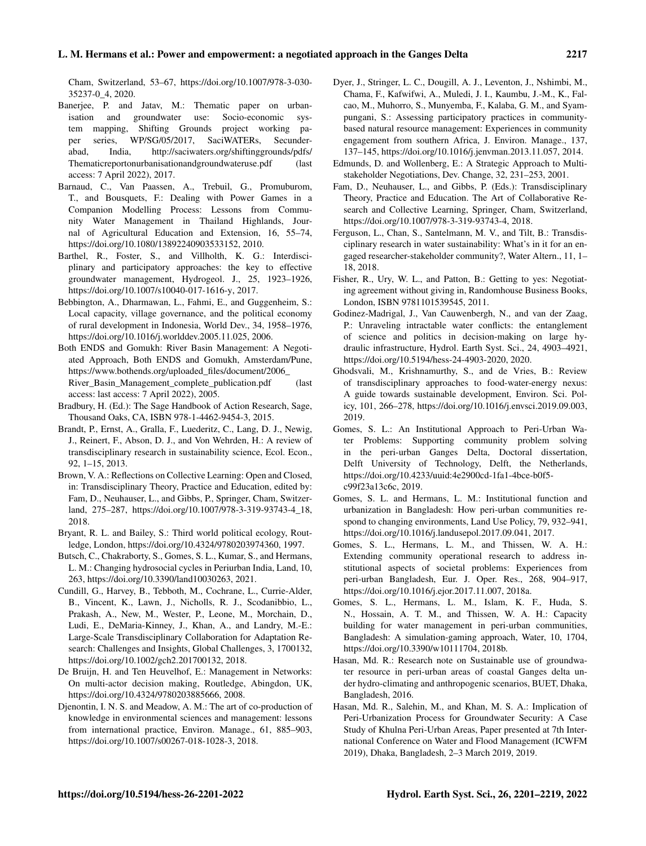Cham, Switzerland, 53–67, https://doi.org[/10.1007/978-3-030-](https://doi.org/10.1007/978-3-030-35237-0_4) [35237-0\\_4,](https://doi.org/10.1007/978-3-030-35237-0_4) 2020.

- Banerjee, P. and Jatav, M.: Thematic paper on urbanisation and groundwater use: Socio-economic system mapping, Shifting Grounds project working paper series, WP/SG/05/2017, SaciWATERs, Secunderabad, India, [http://saciwaters.org/shiftinggrounds/pdfs/](http://saciwaters.org/shiftinggrounds/pdfs/Thematic report on urbanisation and ground water use.pdf) [Thematicreportonurbanisationandgroundwateruse.pdf](http://saciwaters.org/shiftinggrounds/pdfs/Thematic report on urbanisation and ground water use.pdf) (last access: 7 April 2022), 2017.
- Barnaud, C., Van Paassen, A., Trebuil, G., Promuburom, T., and Bousquets, F.: Dealing with Power Games in a Companion Modelling Process: Lessons from Community Water Management in Thailand Highlands, Journal of Agricultural Education and Extension, 16, 55–74, https://doi.org[/10.1080/13892240903533152,](https://doi.org/10.1080/13892240903533152) 2010.
- Barthel, R., Foster, S., and Villholth, K. G.: Interdisciplinary and participatory approaches: the key to effective groundwater management, Hydrogeol. J., 25, 1923–1926, https://doi.org[/10.1007/s10040-017-1616-y,](https://doi.org/10.1007/s10040-017-1616-y) 2017.
- Bebbington, A., Dharmawan, L., Fahmi, E., and Guggenheim, S.: Local capacity, village governance, and the political economy of rural development in Indonesia, World Dev., 34, 1958–1976, https://doi.org[/10.1016/j.worlddev.2005.11.025,](https://doi.org/10.1016/j.worlddev.2005.11.025) 2006.
- Both ENDS and Gomukh: River Basin Management: A Negotiated Approach, Both ENDS and Gomukh, Amsterdam/Pune, [https://www.bothends.org/uploaded\\_files/document/2006\\_](https://www.bothends.org/uploaded_files/document/2006_River_Basin_Management_complete_publication.pdf) [River\\_Basin\\_Management\\_complete\\_publication.pdf](https://www.bothends.org/uploaded_files/document/2006_River_Basin_Management_complete_publication.pdf) (last access: last access: 7 April 2022), 2005.
- Bradbury, H. (Ed.): The Sage Handbook of Action Research, Sage, Thousand Oaks, CA, ISBN 978-1-4462-9454-3, 2015.
- Brandt, P., Ernst, A., Gralla, F., Luederitz, C., Lang, D. J., Newig, J., Reinert, F., Abson, D. J., and Von Wehrden, H.: A review of transdisciplinary research in sustainability science, Ecol. Econ., 92, 1–15, 2013.
- Brown, V. A.: Reflections on Collective Learning: Open and Closed, in: Transdisciplinary Theory, Practice and Education, edited by: Fam, D., Neuhauser, L., and Gibbs, P., Springer, Cham, Switzerland, 275–287, https://doi.org[/10.1007/978-3-319-93743-4\\_18,](https://doi.org/10.1007/978-3-319-93743-4_18) 2018.
- Bryant, R. L. and Bailey, S.: Third world political ecology, Routledge, London, https://doi.org[/10.4324/9780203974360,](https://doi.org/10.4324/9780203974360) 1997.
- Butsch, C., Chakraborty, S., Gomes, S. L., Kumar, S., and Hermans, L. M.: Changing hydrosocial cycles in Periurban India, Land, 10, 263, https://doi.org[/10.3390/land10030263,](https://doi.org/10.3390/land10030263) 2021.
- Cundill, G., Harvey, B., Tebboth, M., Cochrane, L., Currie-Alder, B., Vincent, K., Lawn, J., Nicholls, R. J., Scodanibbio, L., Prakash, A., New, M., Wester, P., Leone, M., Morchain, D., Ludi, E., DeMaria-Kinney, J., Khan, A., and Landry, M.-E.: Large-Scale Transdisciplinary Collaboration for Adaptation Research: Challenges and Insights, Global Challenges, 3, 1700132, https://doi.org[/10.1002/gch2.201700132,](https://doi.org/10.1002/gch2.201700132) 2018.
- De Bruijn, H. and Ten Heuvelhof, E.: Management in Networks: On multi-actor decision making, Routledge, Abingdon, UK, https://doi.org[/10.4324/9780203885666,](https://doi.org/10.4324/9780203885666) 2008.
- Djenontin, I. N. S. and Meadow, A. M.: The art of co-production of knowledge in environmental sciences and management: lessons from international practice, Environ. Manage., 61, 885–903, https://doi.org[/10.1007/s00267-018-1028-3,](https://doi.org/10.1007/s00267-018-1028-3) 2018.
- Dyer, J., Stringer, L. C., Dougill, A. J., Leventon, J., Nshimbi, M., Chama, F., Kafwifwi, A., Muledi, J. I., Kaumbu, J.-M., K., Falcao, M., Muhorro, S., Munyemba, F., Kalaba, G. M., and Syampungani, S.: Assessing participatory practices in communitybased natural resource management: Experiences in community engagement from southern Africa, J. Environ. Manage., 137, 137–145, https://doi.org[/10.1016/j.jenvman.2013.11.057,](https://doi.org/10.1016/j.jenvman.2013.11.057) 2014.
- Edmunds, D. and Wollenberg, E.: A Strategic Approach to Multistakeholder Negotiations, Dev. Change, 32, 231–253, 2001.
- Fam, D., Neuhauser, L., and Gibbs, P. (Eds.): Transdisciplinary Theory, Practice and Education. The Art of Collaborative Research and Collective Learning, Springer, Cham, Switzerland, https://doi.org[/10.1007/978-3-319-93743-4,](https://doi.org/10.1007/978-3-319-93743-4) 2018.
- Ferguson, L., Chan, S., Santelmann, M. V., and Tilt, B.: Transdisciplinary research in water sustainability: What's in it for an engaged researcher-stakeholder community?, Water Altern., 11, 1– 18, 2018.
- Fisher, R., Ury, W. L., and Patton, B.: Getting to yes: Negotiating agreement without giving in, Randomhouse Business Books, London, ISBN 9781101539545, 2011.
- Godinez-Madrigal, J., Van Cauwenbergh, N., and van der Zaag, P.: Unraveling intractable water conflicts: the entanglement of science and politics in decision-making on large hydraulic infrastructure, Hydrol. Earth Syst. Sci., 24, 4903–4921, https://doi.org[/10.5194/hess-24-4903-2020,](https://doi.org/10.5194/hess-24-4903-2020) 2020.
- Ghodsvali, M., Krishnamurthy, S., and de Vries, B.: Review of transdisciplinary approaches to food-water-energy nexus: A guide towards sustainable development, Environ. Sci. Policy, 101, 266–278, https://doi.org[/10.1016/j.envsci.2019.09.003,](https://doi.org/10.1016/j.envsci.2019.09.003) 2019.
- Gomes, S. L.: An Institutional Approach to Peri-Urban Water Problems: Supporting community problem solving in the peri-urban Ganges Delta, Doctoral dissertation, Delft University of Technology, Delft, the Netherlands, https://doi.org[/10.4233/uuid:4e2900cd-1fa1-4bce-b0f5](https://doi.org/10.4233/uuid:4e2900cd-1fa1-4bce-b0f5-c99f23a13c6c) [c99f23a13c6c,](https://doi.org/10.4233/uuid:4e2900cd-1fa1-4bce-b0f5-c99f23a13c6c) 2019.
- Gomes, S. L. and Hermans, L. M.: Institutional function and urbanization in Bangladesh: How peri-urban communities respond to changing environments, Land Use Policy, 79, 932–941, https://doi.org[/10.1016/j.landusepol.2017.09.041,](https://doi.org/10.1016/j.landusepol.2017.09.041) 2017.
- Gomes, S. L., Hermans, L. M., and Thissen, W. A. H.: Extending community operational research to address institutional aspects of societal problems: Experiences from peri-urban Bangladesh, Eur. J. Oper. Res., 268, 904–917, https://doi.org[/10.1016/j.ejor.2017.11.007,](https://doi.org/10.1016/j.ejor.2017.11.007) 2018a.
- Gomes, S. L., Hermans, L. M., Islam, K. F., Huda, S. N., Hossain, A. T. M., and Thissen, W. A. H.: Capacity building for water management in peri-urban communities, Bangladesh: A simulation-gaming approach, Water, 10, 1704, https://doi.org[/10.3390/w10111704,](https://doi.org/10.3390/w10111704) 2018b.
- Hasan, Md. R.: Research note on Sustainable use of groundwater resource in peri-urban areas of coastal Ganges delta under hydro-climating and anthropogenic scenarios, BUET, Dhaka, Bangladesh, 2016.
- Hasan, Md. R., Salehin, M., and Khan, M. S. A.: Implication of Peri-Urbanization Process for Groundwater Security: A Case Study of Khulna Peri-Urban Areas, Paper presented at 7th International Conference on Water and Flood Management (ICWFM 2019), Dhaka, Bangladesh, 2–3 March 2019, 2019.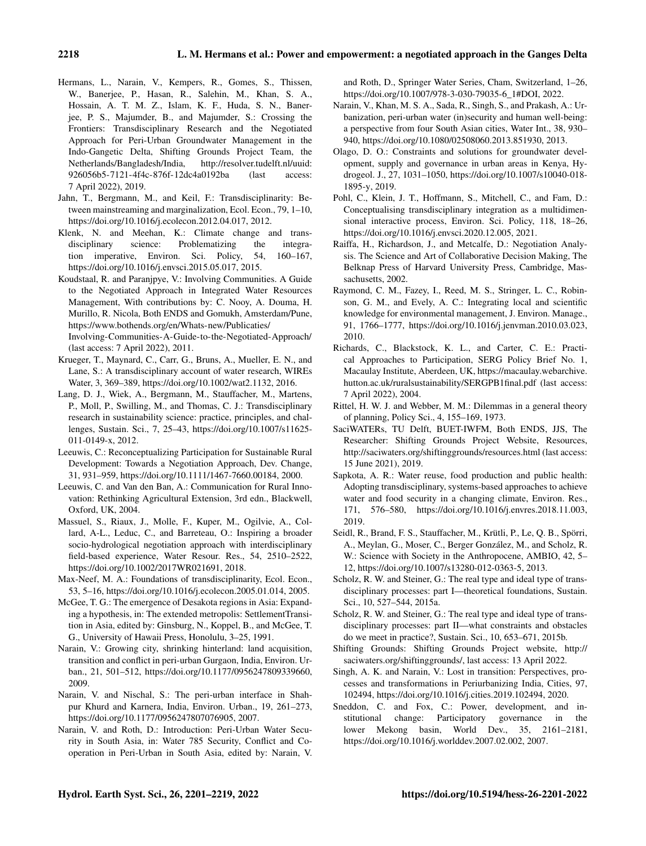- Hermans, L., Narain, V., Kempers, R., Gomes, S., Thissen, W., Banerjee, P., Hasan, R., Salehin, M., Khan, S. A., Hossain, A. T. M. Z., Islam, K. F., Huda, S. N., Banerjee, P. S., Majumder, B., and Majumder, S.: Crossing the Frontiers: Transdisciplinary Research and the Negotiated Approach for Peri-Urban Groundwater Management in the Indo-Gangetic Delta, Shifting Grounds Project Team, the Netherlands/Bangladesh/India, [http://resolver.tudelft.nl/uuid:](http://resolver.tudelft.nl/uuid:926056b5-7121-4f4c-876f-12dc4a0192ba) [926056b5-7121-4f4c-876f-12dc4a0192ba](http://resolver.tudelft.nl/uuid:926056b5-7121-4f4c-876f-12dc4a0192ba) (last access: 7 April 2022), 2019.
- Jahn, T., Bergmann, M., and Keil, F.: Transdisciplinarity: Between mainstreaming and marginalization, Ecol. Econ., 79, 1–10, https://doi.org[/10.1016/j.ecolecon.2012.04.017,](https://doi.org/10.1016/j.ecolecon.2012.04.017) 2012.
- Klenk, N. and Meehan, K.: Climate change and trans-<br>disciplinary science: Problematizing the integradisciplinary science: Problematizing the integration imperative, Environ. Sci. Policy, 54, 160–167, https://doi.org[/10.1016/j.envsci.2015.05.017,](https://doi.org/10.1016/j.envsci.2015.05.017) 2015.
- Koudstaal, R. and Paranjpye, V.: Involving Communities. A Guide to the Negotiated Approach in Integrated Water Resources Management, With contributions by: C. Nooy, A. Douma, H. Murillo, R. Nicola, Both ENDS and Gomukh, Amsterdam/Pune, [https://www.bothends.org/en/Whats-new/Publicaties/](https://www.bothends.org/en/Whats-new/Publicaties/Involving-Communities-A-Guide-to-the-Negotiated-Approach/) [Involving-Communities-A-Guide-to-the-Negotiated-Approach/](https://www.bothends.org/en/Whats-new/Publicaties/Involving-Communities-A-Guide-to-the-Negotiated-Approach/) (last access: 7 April 2022), 2011.
- Krueger, T., Maynard, C., Carr, G., Bruns, A., Mueller, E. N., and Lane, S.: A transdisciplinary account of water research, WIREs Water, 3, 369–389, https://doi.org[/10.1002/wat2.1132,](https://doi.org/10.1002/wat2.1132) 2016.
- Lang, D. J., Wiek, A., Bergmann, M., Stauffacher, M., Martens, P., Moll, P., Swilling, M., and Thomas, C. J.: Transdisciplinary research in sustainability science: practice, principles, and challenges, Sustain. Sci., 7, 25–43, https://doi.org[/10.1007/s11625-](https://doi.org/10.1007/s11625-011-0149-x) [011-0149-x,](https://doi.org/10.1007/s11625-011-0149-x) 2012.
- Leeuwis, C.: Reconceptualizing Participation for Sustainable Rural Development: Towards a Negotiation Approach, Dev. Change, 31, 931–959, https://doi.org[/10.1111/1467-7660.00184,](https://doi.org/10.1111/1467-7660.00184) 2000.
- Leeuwis, C. and Van den Ban, A.: Communication for Rural Innovation: Rethinking Agricultural Extension, 3rd edn., Blackwell, Oxford, UK, 2004.
- Massuel, S., Riaux, J., Molle, F., Kuper, M., Ogilvie, A., Collard, A-L., Leduc, C., and Barreteau, O.: Inspiring a broader socio-hydrological negotiation approach with interdisciplinary field-based experience, Water Resour. Res., 54, 2510–2522, https://doi.org[/10.1002/2017WR021691,](https://doi.org/10.1002/2017WR021691) 2018.
- Max-Neef, M. A.: Foundations of transdisciplinarity, Ecol. Econ., 53, 5–16, https://doi.org[/10.1016/j.ecolecon.2005.01.014,](https://doi.org/10.1016/j.ecolecon.2005.01.014) 2005.
- McGee, T. G.: The emergence of Desakota regions in Asia: Expanding a hypothesis, in: The extended metropolis: SettlementTransition in Asia, edited by: Ginsburg, N., Koppel, B., and McGee, T. G., University of Hawaii Press, Honolulu, 3–25, 1991.
- Narain, V.: Growing city, shrinking hinterland: land acquisition, transition and conflict in peri-urban Gurgaon, India, Environ. Urban., 21, 501–512, https://doi.org[/10.1177/0956247809339660,](https://doi.org/10.1177/0956247809339660) 2009.
- Narain, V. and Nischal, S.: The peri-urban interface in Shahpur Khurd and Karnera, India, Environ. Urban., 19, 261–273, https://doi.org[/10.1177/0956247807076905,](https://doi.org/10.1177/0956247807076905) 2007.
- Narain, V. and Roth, D.: Introduction: Peri-Urban Water Security in South Asia, in: Water 785 Security, Conflict and Cooperation in Peri-Urban in South Asia, edited by: Narain, V.

and Roth, D., Springer Water Series, Cham, Switzerland, 1–26, https://doi.org[/10.1007/978-3-030-79035-6\\_1#DOI,](https://doi.org/10.1007/978-3-030-79035-6_1#DOI) 2022.

- Narain, V., Khan, M. S. A., Sada, R., Singh, S., and Prakash, A.: Urbanization, peri-urban water (in)security and human well-being: a perspective from four South Asian cities, Water Int., 38, 930– 940, https://doi.org[/10.1080/02508060.2013.851930,](https://doi.org/10.1080/02508060.2013.851930) 2013.
- Olago, D. O.: Constraints and solutions for groundwater development, supply and governance in urban areas in Kenya, Hydrogeol. J., 27, 1031–1050, https://doi.org[/10.1007/s10040-018-](https://doi.org/10.1007/s10040-018-1895-y) [1895-y,](https://doi.org/10.1007/s10040-018-1895-y) 2019.
- Pohl, C., Klein, J. T., Hoffmann, S., Mitchell, C., and Fam, D.: Conceptualising transdisciplinary integration as a multidimensional interactive process, Environ. Sci. Policy, 118, 18–26, https://doi.org[/10.1016/j.envsci.2020.12.005,](https://doi.org/10.1016/j.envsci.2020.12.005) 2021.
- Raiffa, H., Richardson, J., and Metcalfe, D.: Negotiation Analysis. The Science and Art of Collaborative Decision Making, The Belknap Press of Harvard University Press, Cambridge, Massachusetts, 2002.
- Raymond, C. M., Fazey, I., Reed, M. S., Stringer, L. C., Robinson, G. M., and Evely, A. C.: Integrating local and scientific knowledge for environmental management, J. Environ. Manage., 91, 1766–1777, https://doi.org[/10.1016/j.jenvman.2010.03.023,](https://doi.org/10.1016/j.jenvman.2010.03.023) 2010.
- Richards, C., Blackstock, K. L., and Carter, C. E.: Practical Approaches to Participation, SERG Policy Brief No. 1, Macaulay Institute, Aberdeen, UK, [https://macaulay.webarchive.](https://macaulay.webarchive.hutton.ac.uk/ruralsustainability/SERG PB1 final.pdf) [hutton.ac.uk/ruralsustainability/SERGPB1final.pdf](https://macaulay.webarchive.hutton.ac.uk/ruralsustainability/SERG PB1 final.pdf) (last access: 7 April 2022), 2004.
- Rittel, H. W. J. and Webber, M. M.: Dilemmas in a general theory of planning, Policy Sci., 4, 155–169, 1973.
- SaciWATERs, TU Delft, BUET-IWFM, Both ENDS, JJS, The Researcher: Shifting Grounds Project Website, Resources, <http://saciwaters.org/shiftinggrounds/resources.html> (last access: 15 June 2021), 2019.
- Sapkota, A. R.: Water reuse, food production and public health: Adopting transdisciplinary, systems-based approaches to achieve water and food security in a changing climate, Environ. Res., 171, 576–580, https://doi.org[/10.1016/j.envres.2018.11.003,](https://doi.org/10.1016/j.envres.2018.11.003) 2019.
- Seidl, R., Brand, F. S., Stauffacher, M., Krütli, P., Le, Q. B., Spörri, A., Meylan, G., Moser, C., Berger González, M., and Scholz, R. W.: Science with Society in the Anthropocene, AMBIO, 42, 5– 12, https://doi.org[/10.1007/s13280-012-0363-5,](https://doi.org/10.1007/s13280-012-0363-5) 2013.
- Scholz, R. W. and Steiner, G.: The real type and ideal type of transdisciplinary processes: part I—theoretical foundations, Sustain. Sci., 10, 527–544, 2015a.
- Scholz, R. W. and Steiner, G.: The real type and ideal type of transdisciplinary processes: part II—what constraints and obstacles do we meet in practice?, Sustain. Sci., 10, 653–671, 2015b.
- Shifting Grounds: Shifting Grounds Project website, [http://](http://saciwaters.org/shiftinggrounds/) [saciwaters.org/shiftinggrounds/,](http://saciwaters.org/shiftinggrounds/) last access: 13 April 2022.
- Singh, A. K. and Narain, V.: Lost in transition: Perspectives, processes and transformations in Periurbanizing India, Cities, 97, 102494, https://doi.org[/10.1016/j.cities.2019.102494,](https://doi.org/10.1016/j.cities.2019.102494) 2020.
- Sneddon, C. and Fox, C.: Power, development, and institutional change: Participatory governance in the lower Mekong basin, World Dev., 35, 2161–2181, https://doi.org[/10.1016/j.worlddev.2007.02.002,](https://doi.org/10.1016/j.worlddev.2007.02.002) 2007.